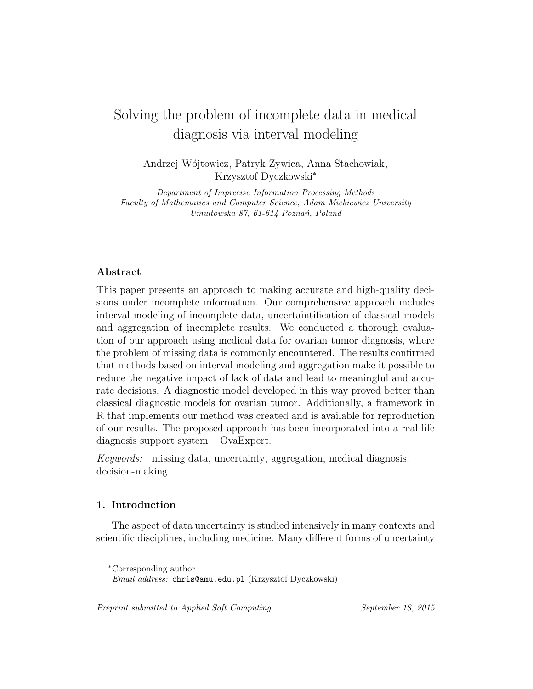# Solving the problem of incomplete data in medical diagnosis via interval modeling

Andrzej Wójtowicz, Patryk Żywica, Anna Stachowiak, Krzysztof Dyczkowski<sup>∗</sup>

Department of Imprecise Information Processing Methods Faculty of Mathematics and Computer Science, Adam Mickiewicz University Umultowska 87, 61-614 Poznań, Poland

# Abstract

This paper presents an approach to making accurate and high-quality decisions under incomplete information. Our comprehensive approach includes interval modeling of incomplete data, uncertaintification of classical models and aggregation of incomplete results. We conducted a thorough evaluation of our approach using medical data for ovarian tumor diagnosis, where the problem of missing data is commonly encountered. The results confirmed that methods based on interval modeling and aggregation make it possible to reduce the negative impact of lack of data and lead to meaningful and accurate decisions. A diagnostic model developed in this way proved better than classical diagnostic models for ovarian tumor. Additionally, a framework in R that implements our method was created and is available for reproduction of our results. The proposed approach has been incorporated into a real-life diagnosis support system – OvaExpert.

Keywords: missing data, uncertainty, aggregation, medical diagnosis, decision-making

# 1. Introduction

The aspect of data uncertainty is studied intensively in many contexts and scientific disciplines, including medicine. Many different forms of uncertainty

Preprint submitted to Applied Soft Computing September 18, 2015

<sup>∗</sup>Corresponding author

Email address: chris@amu.edu.pl (Krzysztof Dyczkowski)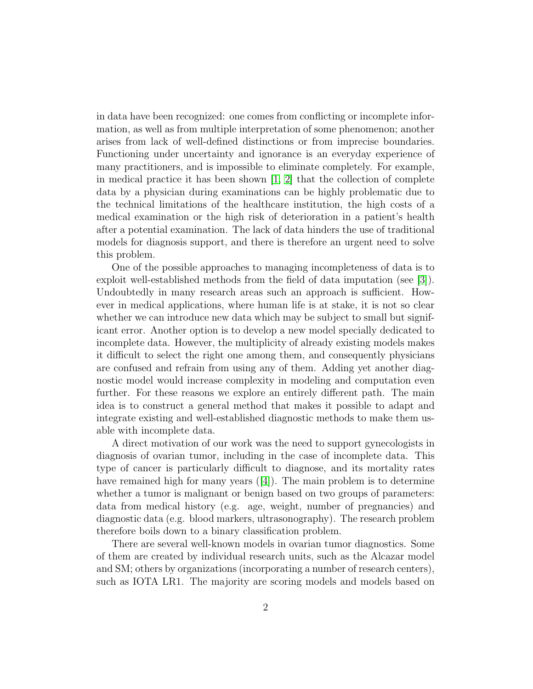in data have been recognized: one comes from conflicting or incomplete information, as well as from multiple interpretation of some phenomenon; another arises from lack of well-defined distinctions or from imprecise boundaries. Functioning under uncertainty and ignorance is an everyday experience of many practitioners, and is impossible to eliminate completely. For example, in medical practice it has been shown  $\begin{bmatrix} 1, 2 \end{bmatrix}$  that the collection of complete data by a physician during examinations can be highly problematic due to the technical limitations of the healthcare institution, the high costs of a medical examination or the high risk of deterioration in a patient's health after a potential examination. The lack of data hinders the use of traditional models for diagnosis support, and there is therefore an urgent need to solve this problem.

One of the possible approaches to managing incompleteness of data is to exploit well-established methods from the field of data imputation (see [\[3\]](#page-31-2)). Undoubtedly in many research areas such an approach is sufficient. However in medical applications, where human life is at stake, it is not so clear whether we can introduce new data which may be subject to small but significant error. Another option is to develop a new model specially dedicated to incomplete data. However, the multiplicity of already existing models makes it difficult to select the right one among them, and consequently physicians are confused and refrain from using any of them. Adding yet another diagnostic model would increase complexity in modeling and computation even further. For these reasons we explore an entirely different path. The main idea is to construct a general method that makes it possible to adapt and integrate existing and well-established diagnostic methods to make them usable with incomplete data.

A direct motivation of our work was the need to support gynecologists in diagnosis of ovarian tumor, including in the case of incomplete data. This type of cancer is particularly difficult to diagnose, and its mortality rates have remained high for many years  $([4])$  $([4])$  $([4])$ . The main problem is to determine whether a tumor is malignant or benign based on two groups of parameters: data from medical history (e.g. age, weight, number of pregnancies) and diagnostic data (e.g. blood markers, ultrasonography). The research problem therefore boils down to a binary classification problem.

There are several well-known models in ovarian tumor diagnostics. Some of them are created by individual research units, such as the Alcazar model and SM; others by organizations (incorporating a number of research centers), such as IOTA LR1. The majority are scoring models and models based on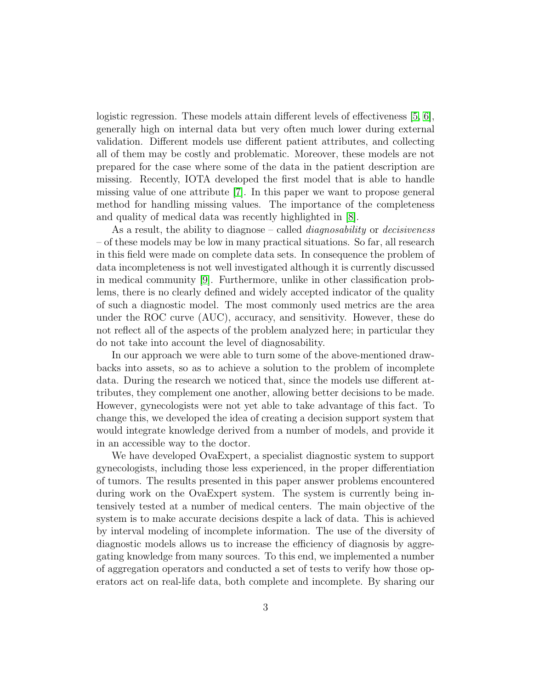logistic regression. These models attain different levels of effectiveness [\[5,](#page-31-4) [6\]](#page-31-5), generally high on internal data but very often much lower during external validation. Different models use different patient attributes, and collecting all of them may be costly and problematic. Moreover, these models are not prepared for the case where some of the data in the patient description are missing. Recently, IOTA developed the first model that is able to handle missing value of one attribute [\[7\]](#page-31-6). In this paper we want to propose general method for handling missing values. The importance of the completeness and quality of medical data was recently highlighted in [\[8\]](#page-32-0).

As a result, the ability to diagnose – called *diagnosability* or *decisiveness* – of these models may be low in many practical situations. So far, all research in this field were made on complete data sets. In consequence the problem of data incompleteness is not well investigated although it is currently discussed in medical community [\[9\]](#page-32-1). Furthermore, unlike in other classification problems, there is no clearly defined and widely accepted indicator of the quality of such a diagnostic model. The most commonly used metrics are the area under the ROC curve (AUC), accuracy, and sensitivity. However, these do not reflect all of the aspects of the problem analyzed here; in particular they do not take into account the level of diagnosability.

In our approach we were able to turn some of the above-mentioned drawbacks into assets, so as to achieve a solution to the problem of incomplete data. During the research we noticed that, since the models use different attributes, they complement one another, allowing better decisions to be made. However, gynecologists were not yet able to take advantage of this fact. To change this, we developed the idea of creating a decision support system that would integrate knowledge derived from a number of models, and provide it in an accessible way to the doctor.

We have developed OvaExpert, a specialist diagnostic system to support gynecologists, including those less experienced, in the proper differentiation of tumors. The results presented in this paper answer problems encountered during work on the OvaExpert system. The system is currently being intensively tested at a number of medical centers. The main objective of the system is to make accurate decisions despite a lack of data. This is achieved by interval modeling of incomplete information. The use of the diversity of diagnostic models allows us to increase the efficiency of diagnosis by aggregating knowledge from many sources. To this end, we implemented a number of aggregation operators and conducted a set of tests to verify how those operators act on real-life data, both complete and incomplete. By sharing our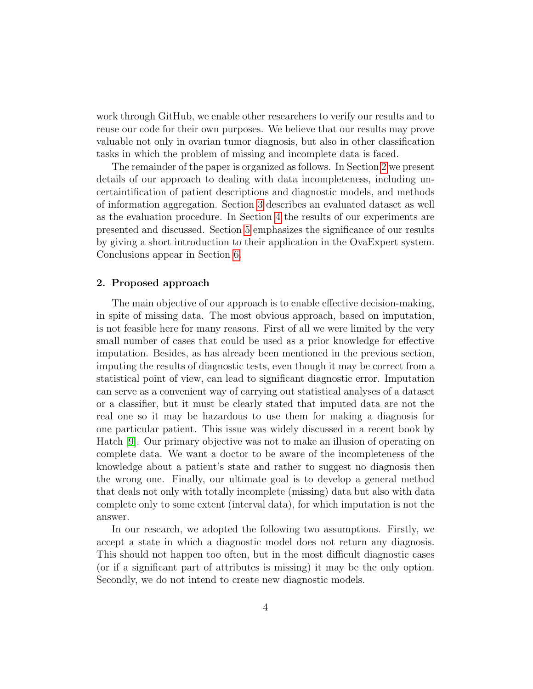work through GitHub, we enable other researchers to verify our results and to reuse our code for their own purposes. We believe that our results may prove valuable not only in ovarian tumor diagnosis, but also in other classification tasks in which the problem of missing and incomplete data is faced.

The remainder of the paper is organized as follows. In Section [2](#page-3-0) we present details of our approach to dealing with data incompleteness, including uncertaintification of patient descriptions and diagnostic models, and methods of information aggregation. Section [3](#page-11-0) describes an evaluated dataset as well as the evaluation procedure. In Section [4](#page-17-0) the results of our experiments are presented and discussed. Section [5](#page-22-0) emphasizes the significance of our results by giving a short introduction to their application in the OvaExpert system. Conclusions appear in Section [6.](#page-24-0)

# <span id="page-3-0"></span>2. Proposed approach

The main objective of our approach is to enable effective decision-making, in spite of missing data. The most obvious approach, based on imputation, is not feasible here for many reasons. First of all we were limited by the very small number of cases that could be used as a prior knowledge for effective imputation. Besides, as has already been mentioned in the previous section, imputing the results of diagnostic tests, even though it may be correct from a statistical point of view, can lead to significant diagnostic error. Imputation can serve as a convenient way of carrying out statistical analyses of a dataset or a classifier, but it must be clearly stated that imputed data are not the real one so it may be hazardous to use them for making a diagnosis for one particular patient. This issue was widely discussed in a recent book by Hatch [\[9\]](#page-32-1). Our primary objective was not to make an illusion of operating on complete data. We want a doctor to be aware of the incompleteness of the knowledge about a patient's state and rather to suggest no diagnosis then the wrong one. Finally, our ultimate goal is to develop a general method that deals not only with totally incomplete (missing) data but also with data complete only to some extent (interval data), for which imputation is not the answer.

In our research, we adopted the following two assumptions. Firstly, we accept a state in which a diagnostic model does not return any diagnosis. This should not happen too often, but in the most difficult diagnostic cases (or if a significant part of attributes is missing) it may be the only option. Secondly, we do not intend to create new diagnostic models.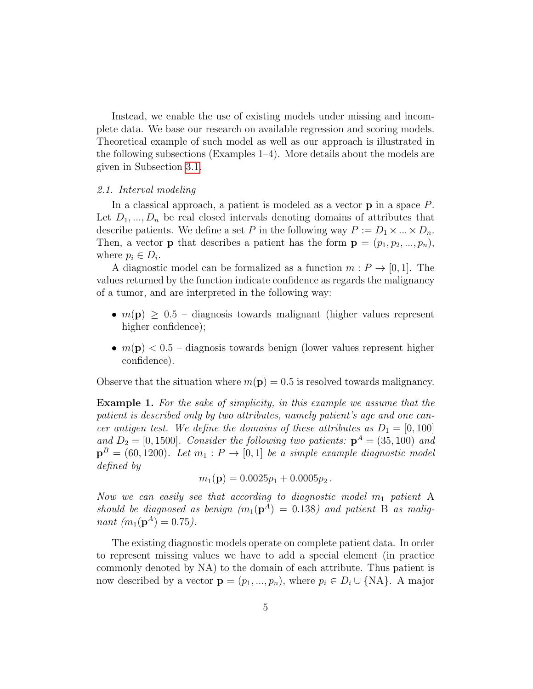Instead, we enable the use of existing models under missing and incomplete data. We base our research on available regression and scoring models. Theoretical example of such model as well as our approach is illustrated in the following subsections (Examples 1–4). More details about the models are given in Subsection [3.1.](#page-11-1)

#### <span id="page-4-0"></span>2.1. Interval modeling

In a classical approach, a patient is modeled as a vector  $\bf{p}$  in a space  $P$ . Let  $D_1, ..., D_n$  be real closed intervals denoting domains of attributes that describe patients. We define a set P in the following way  $P := D_1 \times ... \times D_n$ . Then, a vector **p** that describes a patient has the form  $\mathbf{p} = (p_1, p_2, ..., p_n)$ , where  $p_i \in D_i$ .

A diagnostic model can be formalized as a function  $m : P \to [0, 1]$ . The values returned by the function indicate confidence as regards the malignancy of a tumor, and are interpreted in the following way:

- $m(\mathbf{p}) \geq 0.5$  diagnosis towards malignant (higher values represent higher confidence);
- $m(\mathbf{p}) < 0.5$  diagnosis towards benign (lower values represent higher confidence).

Observe that the situation where  $m(\mathbf{p}) = 0.5$  is resolved towards malignancy.

Example 1. For the sake of simplicity, in this example we assume that the patient is described only by two attributes, namely patient's age and one cancer antigen test. We define the domains of these attributes as  $D_1 = [0, 100]$ and  $D_2 = [0, 1500]$ . Consider the following two patients:  $\mathbf{p}^A = (35, 100)$  and  ${\bf p}^B = (60,1200)$ . Let  $m_1 : P \to [0,1]$  be a simple example diagnostic model defined by

$$
m_1(\mathbf{p}) = 0.0025p_1 + 0.0005p_2.
$$

Now we can easily see that according to diagnostic model  $m_1$  patient A should be diagnosed as benign  $(m_1(\mathbf{p}^A) = 0.138)$  and patient B as malignant  $(m_1(\mathbf{p}^A) = 0.75)$ .

The existing diagnostic models operate on complete patient data. In order to represent missing values we have to add a special element (in practice commonly denoted by NA) to the domain of each attribute. Thus patient is now described by a vector  $\mathbf{p} = (p_1, ..., p_n)$ , where  $p_i \in D_i \cup \{NA\}$ . A major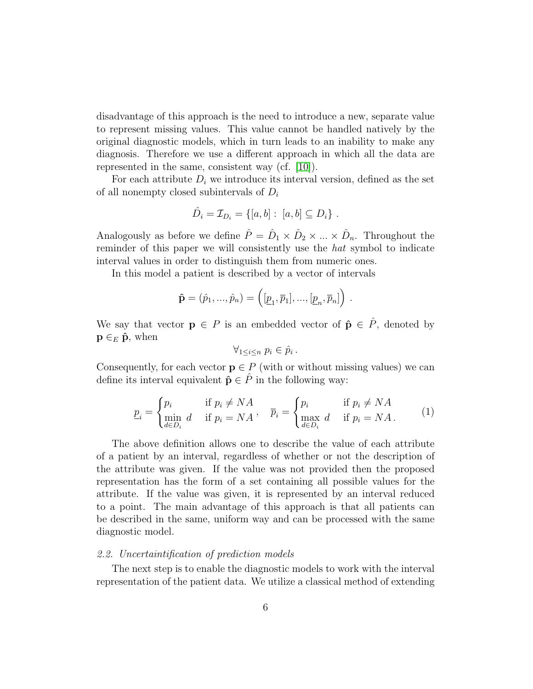disadvantage of this approach is the need to introduce a new, separate value to represent missing values. This value cannot be handled natively by the original diagnostic models, which in turn leads to an inability to make any diagnosis. Therefore we use a different approach in which all the data are represented in the same, consistent way (cf. [\[10\]](#page-32-2)).

For each attribute  $D_i$  we introduce its interval version, defined as the set of all nonempty closed subintervals of  $D_i$ 

$$
\hat{D}_i = \mathcal{I}_{D_i} = \{ [a, b] : [a, b] \subseteq D_i \}.
$$

Analogously as before we define  $\hat{P} = \hat{D}_1 \times \hat{D}_2 \times ... \times \hat{D}_n$ . Throughout the reminder of this paper we will consistently use the hat symbol to indicate interval values in order to distinguish them from numeric ones.

In this model a patient is described by a vector of intervals

$$
\hat{\mathbf{p}} = (\hat{p}_1, ..., \hat{p}_n) = ([\underline{p}_1, \overline{p}_1], ..., [\underline{p}_n, \overline{p}_n])
$$
.

We say that vector  $p \in P$  is an embedded vector of  $\hat{p} \in \hat{P}$ , denoted by  $\mathbf{p} \in_E \hat{\mathbf{p}}$ , when

$$
\forall_{1\leq i\leq n}\ p_i\in\hat{p}_i\,.
$$

Consequently, for each vector  $p \in P$  (with or without missing values) we can define its interval equivalent  $\hat{\mathbf{p}} \in \hat{P}$  in the following way:

<span id="page-5-0"></span>
$$
\underline{p}_{i} = \begin{cases} p_{i} & \text{if } p_{i} \neq NA \\ \min_{d \in D_{i}} d & \text{if } p_{i} = NA \end{cases}, \quad \overline{p}_{i} = \begin{cases} p_{i} & \text{if } p_{i} \neq NA \\ \max_{d \in D_{i}} d & \text{if } p_{i} = NA. \end{cases}
$$
 (1)

The above definition allows one to describe the value of each attribute of a patient by an interval, regardless of whether or not the description of the attribute was given. If the value was not provided then the proposed representation has the form of a set containing all possible values for the attribute. If the value was given, it is represented by an interval reduced to a point. The main advantage of this approach is that all patients can be described in the same, uniform way and can be processed with the same diagnostic model.

## 2.2. Uncertaintification of prediction models

The next step is to enable the diagnostic models to work with the interval representation of the patient data. We utilize a classical method of extending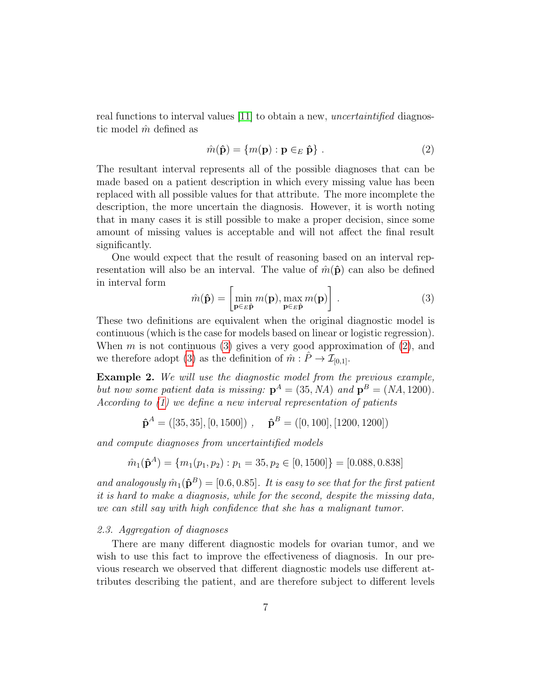real functions to interval values [\[11\]](#page-32-3) to obtain a new, uncertaintified diagnostic model  $\hat{m}$  defined as

<span id="page-6-1"></span>
$$
\hat{m}(\hat{\mathbf{p}}) = \{m(\mathbf{p}) : \mathbf{p} \in_E \hat{\mathbf{p}}\} .
$$
\n(2)

The resultant interval represents all of the possible diagnoses that can be made based on a patient description in which every missing value has been replaced with all possible values for that attribute. The more incomplete the description, the more uncertain the diagnosis. However, it is worth noting that in many cases it is still possible to make a proper decision, since some amount of missing values is acceptable and will not affect the final result significantly.

One would expect that the result of reasoning based on an interval representation will also be an interval. The value of  $\hat{m}(\hat{\mathbf{p}})$  can also be defined in interval form

<span id="page-6-0"></span>
$$
\hat{m}(\hat{\mathbf{p}}) = \begin{bmatrix} \min_{\mathbf{p} \in \mathbf{p} \hat{\mathbf{p}}} m(\mathbf{p}), \max_{\mathbf{p} \in \mathbf{p} \hat{\mathbf{p}}} m(\mathbf{p}) \end{bmatrix} . \tag{3}
$$

These two definitions are equivalent when the original diagnostic model is continuous (which is the case for models based on linear or logistic regression). When m is not continuous [\(3\)](#page-6-0) gives a very good approximation of  $(2)$ , and we therefore adopt [\(3\)](#page-6-0) as the definition of  $\hat{m} : \hat{P} \to \mathcal{I}_{[0,1]}$ .

Example 2. We will use the diagnostic model from the previous example, but now some patient data is missing:  $\mathbf{p}^A = (35, NA)$  and  $\mathbf{p}^B = (NA, 1200)$ . According to [\(1\)](#page-5-0) we define a new interval representation of patients

$$
\hat{\mathbf{p}}^A = ([35, 35], [0, 1500])
$$
,  $\hat{\mathbf{p}}^B = ([0, 100], [1200, 1200])$ 

and compute diagnoses from uncertaintified models

$$
\hat{m}_1(\hat{\mathbf{p}}^A) = \{m_1(p_1, p_2) : p_1 = 35, p_2 \in [0, 1500] \} = [0.088, 0.838]
$$

and analogously  $\hat{m}_1(\hat{\mathbf{p}}^B) = [0.6, 0.85]$ . It is easy to see that for the first patient it is hard to make a diagnosis, while for the second, despite the missing data, we can still say with high confidence that she has a malignant tumor.

# 2.3. Aggregation of diagnoses

There are many different diagnostic models for ovarian tumor, and we wish to use this fact to improve the effectiveness of diagnosis. In our previous research we observed that different diagnostic models use different attributes describing the patient, and are therefore subject to different levels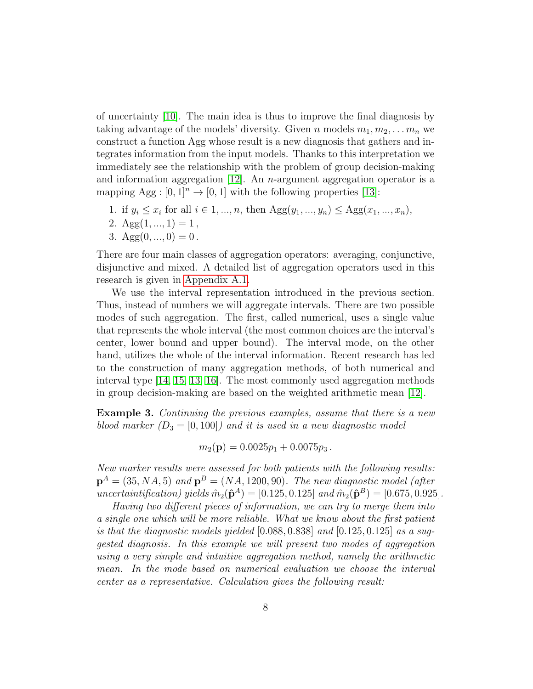of uncertainty [\[10\]](#page-32-2). The main idea is thus to improve the final diagnosis by taking advantage of the models' diversity. Given n models  $m_1, m_2, \ldots, m_n$  we construct a function Agg whose result is a new diagnosis that gathers and integrates information from the input models. Thanks to this interpretation we immediately see the relationship with the problem of group decision-making and information aggregation  $[12]$ . An *n*-argument aggregation operator is a mapping Agg :  $[0, 1]$ <sup>n</sup>  $\rightarrow$   $[0, 1]$  with the following properties [\[13\]](#page-32-5):

- 1. if  $y_i \le x_i$  for all  $i \in 1, ..., n$ , then  $\text{Agg}(y_1, ..., y_n) \le \text{Agg}(x_1, ..., x_n)$ ,
- 2.  $\text{Agg}(1, ..., 1) = 1$ ,
- 3.  $\text{Agg}(0, ..., 0) = 0$ .

There are four main classes of aggregation operators: averaging, conjunctive, disjunctive and mixed. A detailed list of aggregation operators used in this research is given in [Appendix A.1.](#page-26-0)

We use the interval representation introduced in the previous section. Thus, instead of numbers we will aggregate intervals. There are two possible modes of such aggregation. The first, called numerical, uses a single value that represents the whole interval (the most common choices are the interval's center, lower bound and upper bound). The interval mode, on the other hand, utilizes the whole of the interval information. Recent research has led to the construction of many aggregation methods, of both numerical and interval type [\[14,](#page-32-6) [15,](#page-32-7) [13,](#page-32-5) [16\]](#page-32-8). The most commonly used aggregation methods in group decision-making are based on the weighted arithmetic mean [\[12\]](#page-32-4).

**Example 3.** Continuing the previous examples, assume that there is a new blood marker  $(D_3 = [0, 100])$  and it is used in a new diagnostic model

$$
m_2(\mathbf{p}) = 0.0025p_1 + 0.0075p_3.
$$

New marker results were assessed for both patients with the following results:  ${\bf p}^A=(35,NA,5)\,$  and  ${\bf p}^B=(NA,1200,90)$ . The new diagnostic model (after uncertaintification) yields  $\hat{m}_2(\hat{\mathbf{p}}^A) = [0.125, 0.125]$  and  $\hat{m}_2(\hat{\mathbf{p}}^B) = [0.675, 0.925]$ .

Having two different pieces of information, we can try to merge them into a single one which will be more reliable. What we know about the first patient is that the diagnostic models yielded  $[0.088, 0.838]$  and  $[0.125, 0.125]$  as a suggested diagnosis. In this example we will present two modes of aggregation using a very simple and intuitive aggregation method, namely the arithmetic mean. In the mode based on numerical evaluation we choose the interval center as a representative. Calculation gives the following result: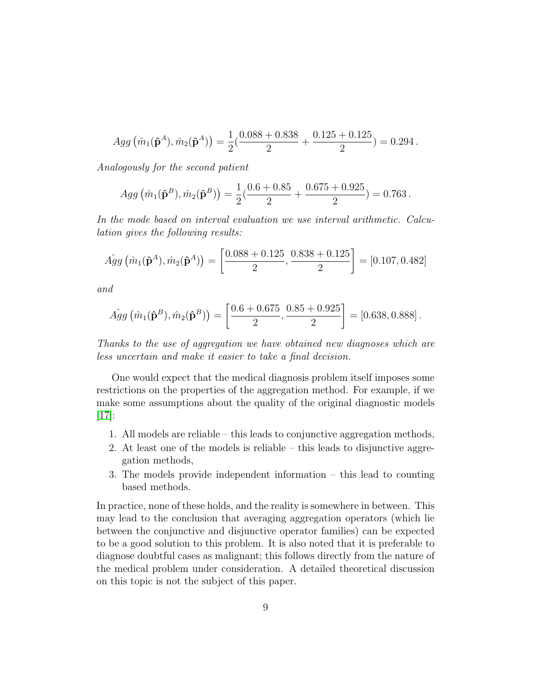$$
Agg\left(\hat{m}_1(\hat{\mathbf{p}}^A), \hat{m}_2(\hat{\mathbf{p}}^A)\right) = \frac{1}{2}(\frac{0.088 + 0.838}{2} + \frac{0.125 + 0.125}{2}) = 0.294.
$$

Analogously for the second patient

$$
Agg\left(\hat{m}_1(\hat{\mathbf{p}}^B),\hat{m}_2(\hat{\mathbf{p}}^B)\right) = \frac{1}{2}(\frac{0.6 + 0.85}{2} + \frac{0.675 + 0.925}{2}) = 0.763.
$$

In the mode based on interval evaluation we use interval arithmetic. Calculation gives the following results:

$$
\hat{Agg}(\hat{m}_1(\hat{\mathbf{p}}^A), \hat{m}_2(\hat{\mathbf{p}}^A)) = \left[\frac{0.088 + 0.125}{2}, \frac{0.838 + 0.125}{2}\right] = [0.107, 0.482]
$$

and

$$
\hat{Agg}(\hat{m}_1(\hat{\mathbf{p}}^B), \hat{m}_2(\hat{\mathbf{p}}^B)) = \left[\frac{0.6 + 0.675}{2}, \frac{0.85 + 0.925}{2}\right] = [0.638, 0.888].
$$

Thanks to the use of aggregation we have obtained new diagnoses which are less uncertain and make it easier to take a final decision.

One would expect that the medical diagnosis problem itself imposes some restrictions on the properties of the aggregation method. For example, if we make some assumptions about the quality of the original diagnostic models [\[17\]](#page-32-9):

- 1. All models are reliable this leads to conjunctive aggregation methods,
- 2. At least one of the models is reliable this leads to disjunctive aggregation methods,
- 3. The models provide independent information this lead to counting based methods.

In practice, none of these holds, and the reality is somewhere in between. This may lead to the conclusion that averaging aggregation operators (which lie between the conjunctive and disjunctive operator families) can be expected to be a good solution to this problem. It is also noted that it is preferable to diagnose doubtful cases as malignant; this follows directly from the nature of the medical problem under consideration. A detailed theoretical discussion on this topic is not the subject of this paper.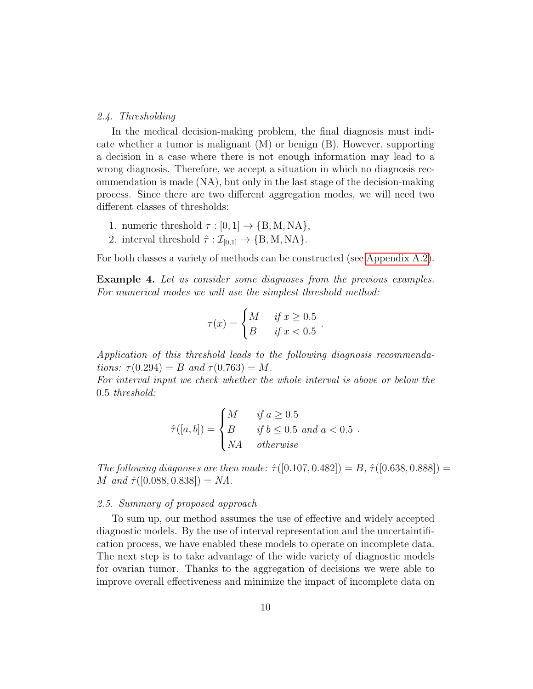#### 2.4. Thresholding

In the medical decision-making problem, the final diagnosis must indicate whether a tumor is malignant  $(M)$  or benign  $(B)$ . However, supporting a decision in a case where there is not enough information may lead to a wrong diagnosis. Therefore, we accept a situation in which no diagnosis recommendation is made (NA), but only in the last stage of the decision-making process. Since there are two different aggregation modes, we will need two different classes of thresholds:

- 1. numeric threshold  $\tau : [0, 1] \rightarrow \{B, M, NA\},\$
- 2. interval threshold  $\hat{\tau} : \mathcal{I}_{[0,1]} \to \{\text{B}, \text{M}, \text{NA}\}.$

For both classes a variety of methods can be constructed (see [Appendix A.2\)](#page-30-0).

Example 4. Let us consider some diagnoses from the previous examples. For numerical modes we will use the simplest threshold method:

$$
\tau(x) = \begin{cases} M & \text{if } x \ge 0.5 \\ B & \text{if } x < 0.5 \end{cases}.
$$

Application of this threshold leads to the following diagnosis recommendations:  $\tau(0.294) = B$  and  $\tau(0.763) = M$ .

For interval input we check whether the whole interval is above or below the 0.5 threshold:

$$
\hat{\tau}([a,b]) = \begin{cases}\nM & \text{if } a \geq 0.5 \\
B & \text{if } b \leq 0.5 \text{ and } a < 0.5 \\
NA & \text{otherwise}\n\end{cases}
$$

The following diagnoses are then made:  $\hat{\tau}([0.107, 0.482]) = B$ ,  $\hat{\tau}([0.638, 0.888]) =$ M and  $\hat{\tau}([0.088, 0.838]) = NA$ .

# 2.5. Summary of proposed approach

To sum up, our method assumes the use of effective and widely accepted diagnostic models. By the use of interval representation and the uncertaintification process, we have enabled these models to operate on incomplete data. The next step is to take advantage of the wide variety of diagnostic models for ovarian tumor. Thanks to the aggregation of decisions we were able to improve overall effectiveness and minimize the impact of incomplete data on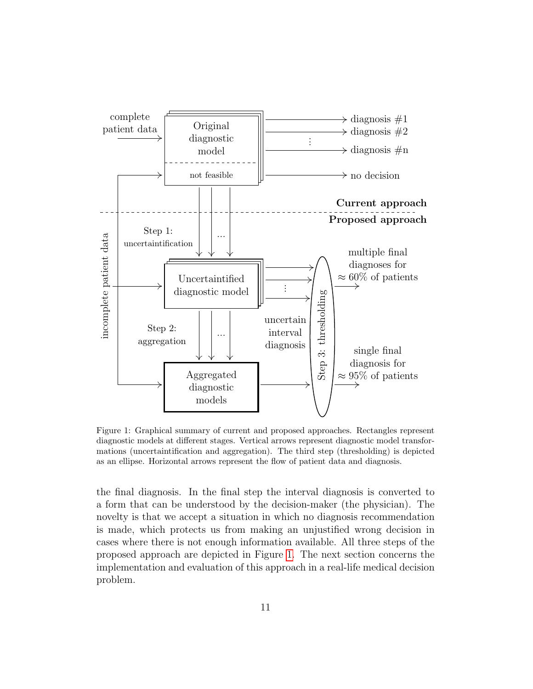<span id="page-10-0"></span>

Figure 1: Graphical summary of current and proposed approaches. Rectangles represent diagnostic models at different stages. Vertical arrows represent diagnostic model transformations (uncertaintification and aggregation). The third step (thresholding) is depicted as an ellipse. Horizontal arrows represent the flow of patient data and diagnosis.

the final diagnosis. In the final step the interval diagnosis is converted to a form that can be understood by the decision-maker (the physician). The novelty is that we accept a situation in which no diagnosis recommendation is made, which protects us from making an unjustified wrong decision in cases where there is not enough information available. All three steps of the proposed approach are depicted in Figure [1.](#page-10-0) The next section concerns the implementation and evaluation of this approach in a real-life medical decision problem.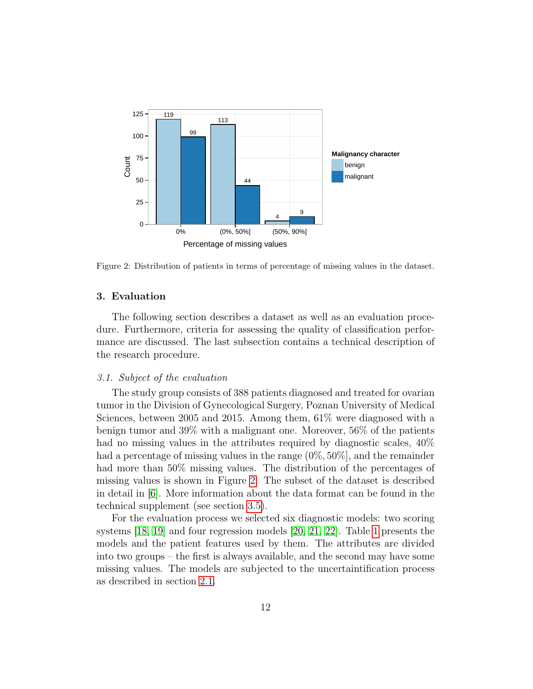<span id="page-11-2"></span>

Figure 2: Distribution of patients in terms of percentage of missing values in the dataset.

# <span id="page-11-0"></span>3. Evaluation

The following section describes a dataset as well as an evaluation procedure. Furthermore, criteria for assessing the quality of classification performance are discussed. The last subsection contains a technical description of the research procedure.

#### <span id="page-11-1"></span>3.1. Subject of the evaluation

The study group consists of 388 patients diagnosed and treated for ovarian tumor in the Division of Gynecological Surgery, Poznan University of Medical Sciences, between 2005 and 2015. Among them, 61% were diagnosed with a benign tumor and 39% with a malignant one. Moreover, 56% of the patients had no missing values in the attributes required by diagnostic scales,  $40\%$ had a percentage of missing values in the range  $(0\%, 50\%)$ , and the remainder had more than 50% missing values. The distribution of the percentages of missing values is shown in Figure [2.](#page-11-2) The subset of the dataset is described in detail in [\[6\]](#page-31-5). More information about the data format can be found in the technical supplement (see section [3.5\)](#page-17-1).

For the evaluation process we selected six diagnostic models: two scoring systems [\[18,](#page-32-10) [19\]](#page-33-0) and four regression models [\[20,](#page-33-1) [21,](#page-33-2) [22\]](#page-33-3). Table [1](#page-12-0) presents the models and the patient features used by them. The attributes are divided into two groups – the first is always available, and the second may have some missing values. The models are subjected to the uncertaintification process as described in section [2.1.](#page-4-0)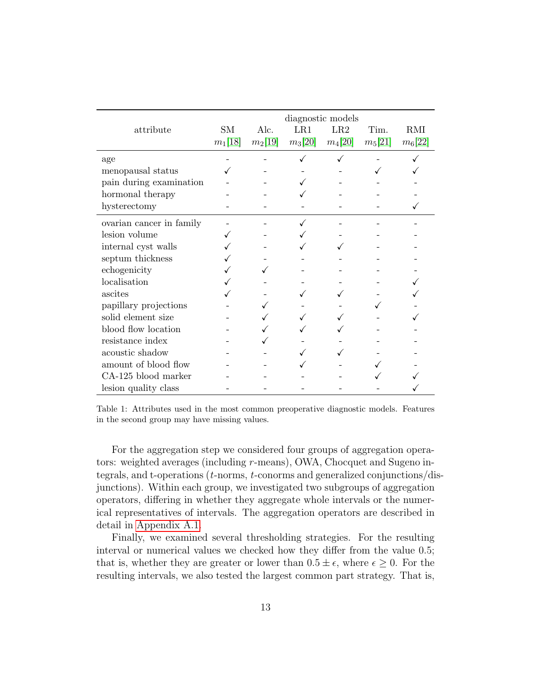<span id="page-12-0"></span>

|                          | diagnostic models |           |           |           |           |           |
|--------------------------|-------------------|-----------|-----------|-----------|-----------|-----------|
| attribute                | <b>SM</b>         | Alc.      | LR1       | LR2       | Tim.      | RMI       |
|                          | $m_1[18]$         | $m_2[19]$ | $m_3[20]$ | $m_4[20]$ | $m_5[21]$ | $m_6[22]$ |
| age                      |                   |           |           |           |           |           |
| menopausal status        |                   |           |           |           |           |           |
| pain during examination  |                   |           |           |           |           |           |
| hormonal therapy         |                   |           |           |           |           |           |
| hysterectomy             |                   |           |           |           |           |           |
| ovarian cancer in family |                   |           |           |           |           |           |
| lesion volume            |                   |           |           |           |           |           |
| internal cyst walls      |                   |           |           |           |           |           |
| septum thickness         |                   |           |           |           |           |           |
| echogenicity             |                   |           |           |           |           |           |
| localisation             |                   |           |           |           |           |           |
| ascites                  |                   |           |           |           |           |           |
| papillary projections    |                   |           |           |           |           |           |
| solid element size       |                   |           |           |           |           |           |
| blood flow location      |                   |           |           |           |           |           |
| resistance index         |                   |           |           |           |           |           |
| acoustic shadow          |                   |           |           |           |           |           |
| amount of blood flow     |                   |           |           |           |           |           |
| CA-125 blood marker      |                   |           |           |           |           |           |
| lesion quality class     |                   |           |           |           |           |           |

Table 1: Attributes used in the most common preoperative diagnostic models. Features in the second group may have missing values.

For the aggregation step we considered four groups of aggregation operators: weighted averages (including r-means), OWA, Chocquet and Sugeno integrals, and t-operations (t-norms, t-conorms and generalized conjunctions/disjunctions). Within each group, we investigated two subgroups of aggregation operators, differing in whether they aggregate whole intervals or the numerical representatives of intervals. The aggregation operators are described in detail in [Appendix A.1.](#page-26-0)

Finally, we examined several thresholding strategies. For the resulting interval or numerical values we checked how they differ from the value 0.5; that is, whether they are greater or lower than  $0.5 \pm \epsilon$ , where  $\epsilon \geq 0$ . For the resulting intervals, we also tested the largest common part strategy. That is,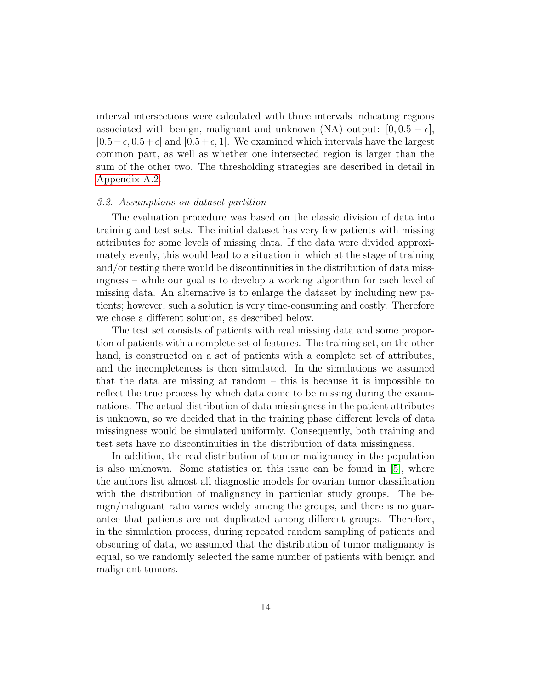interval intersections were calculated with three intervals indicating regions associated with benign, malignant and unknown (NA) output:  $[0, 0.5 - \epsilon]$ ,  $[0.5-\epsilon, 0.5+\epsilon]$  and  $[0.5+\epsilon, 1]$ . We examined which intervals have the largest common part, as well as whether one intersected region is larger than the sum of the other two. The thresholding strategies are described in detail in [Appendix A.2.](#page-30-0)

#### <span id="page-13-0"></span>3.2. Assumptions on dataset partition

The evaluation procedure was based on the classic division of data into training and test sets. The initial dataset has very few patients with missing attributes for some levels of missing data. If the data were divided approximately evenly, this would lead to a situation in which at the stage of training and/or testing there would be discontinuities in the distribution of data missingness – while our goal is to develop a working algorithm for each level of missing data. An alternative is to enlarge the dataset by including new patients; however, such a solution is very time-consuming and costly. Therefore we chose a different solution, as described below.

The test set consists of patients with real missing data and some proportion of patients with a complete set of features. The training set, on the other hand, is constructed on a set of patients with a complete set of attributes, and the incompleteness is then simulated. In the simulations we assumed that the data are missing at random – this is because it is impossible to reflect the true process by which data come to be missing during the examinations. The actual distribution of data missingness in the patient attributes is unknown, so we decided that in the training phase different levels of data missingness would be simulated uniformly. Consequently, both training and test sets have no discontinuities in the distribution of data missingness.

In addition, the real distribution of tumor malignancy in the population is also unknown. Some statistics on this issue can be found in [\[5\]](#page-31-4), where the authors list almost all diagnostic models for ovarian tumor classification with the distribution of malignancy in particular study groups. The benign/malignant ratio varies widely among the groups, and there is no guarantee that patients are not duplicated among different groups. Therefore, in the simulation process, during repeated random sampling of patients and obscuring of data, we assumed that the distribution of tumor malignancy is equal, so we randomly selected the same number of patients with benign and malignant tumors.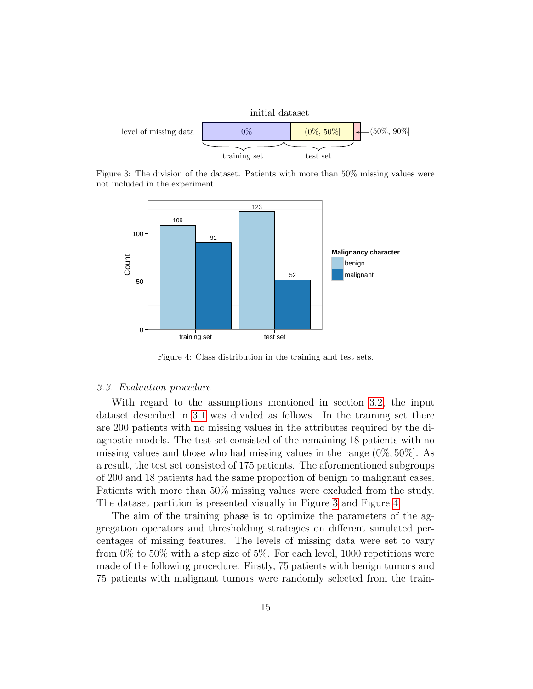<span id="page-14-0"></span>

Figure 3: The division of the dataset. Patients with more than 50% missing values were not included in the experiment.

<span id="page-14-1"></span>

Figure 4: Class distribution in the training and test sets.

#### 3.3. Evaluation procedure

With regard to the assumptions mentioned in section [3.2,](#page-13-0) the input dataset described in [3.1](#page-11-1) was divided as follows. In the training set there are 200 patients with no missing values in the attributes required by the diagnostic models. The test set consisted of the remaining 18 patients with no missing values and those who had missing values in the range (0%, 50%]. As a result, the test set consisted of 175 patients. The aforementioned subgroups of 200 and 18 patients had the same proportion of benign to malignant cases. Patients with more than 50% missing values were excluded from the study. The dataset partition is presented visually in Figure [3](#page-14-0) and Figure [4.](#page-14-1)

The aim of the training phase is to optimize the parameters of the aggregation operators and thresholding strategies on different simulated percentages of missing features. The levels of missing data were set to vary from 0% to 50% with a step size of 5%. For each level, 1000 repetitions were made of the following procedure. Firstly, 75 patients with benign tumors and 75 patients with malignant tumors were randomly selected from the train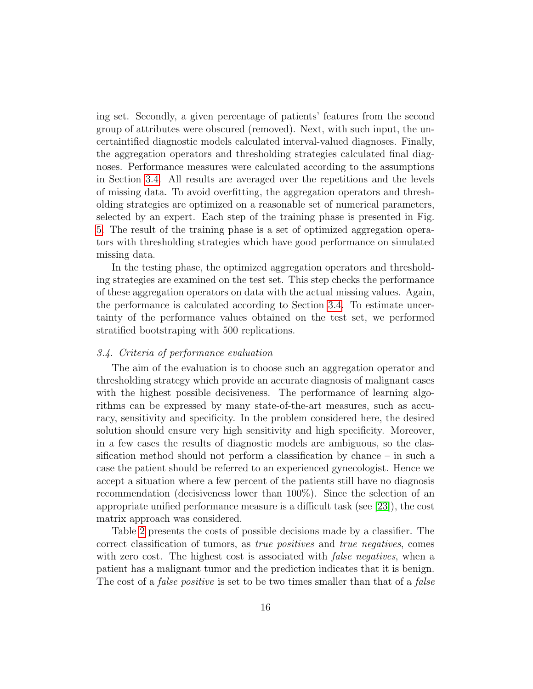ing set. Secondly, a given percentage of patients' features from the second group of attributes were obscured (removed). Next, with such input, the uncertaintified diagnostic models calculated interval-valued diagnoses. Finally, the aggregation operators and thresholding strategies calculated final diagnoses. Performance measures were calculated according to the assumptions in Section [3.4.](#page-15-0) All results are averaged over the repetitions and the levels of missing data. To avoid overfitting, the aggregation operators and thresholding strategies are optimized on a reasonable set of numerical parameters, selected by an expert. Each step of the training phase is presented in Fig. [5.](#page-16-0) The result of the training phase is a set of optimized aggregation operators with thresholding strategies which have good performance on simulated missing data.

In the testing phase, the optimized aggregation operators and thresholding strategies are examined on the test set. This step checks the performance of these aggregation operators on data with the actual missing values. Again, the performance is calculated according to Section [3.4.](#page-15-0) To estimate uncertainty of the performance values obtained on the test set, we performed stratified bootstraping with 500 replications.

# <span id="page-15-0"></span>3.4. Criteria of performance evaluation

The aim of the evaluation is to choose such an aggregation operator and thresholding strategy which provide an accurate diagnosis of malignant cases with the highest possible decisiveness. The performance of learning algorithms can be expressed by many state-of-the-art measures, such as accuracy, sensitivity and specificity. In the problem considered here, the desired solution should ensure very high sensitivity and high specificity. Moreover, in a few cases the results of diagnostic models are ambiguous, so the classification method should not perform a classification by chance – in such a case the patient should be referred to an experienced gynecologist. Hence we accept a situation where a few percent of the patients still have no diagnosis recommendation (decisiveness lower than 100%). Since the selection of an appropriate unified performance measure is a difficult task (see [\[23\]](#page-33-4)), the cost matrix approach was considered.

Table [2](#page-17-2) presents the costs of possible decisions made by a classifier. The correct classification of tumors, as true positives and true negatives, comes with zero cost. The highest cost is associated with *false negatives*, when a patient has a malignant tumor and the prediction indicates that it is benign. The cost of a *false positive* is set to be two times smaller than that of a *false*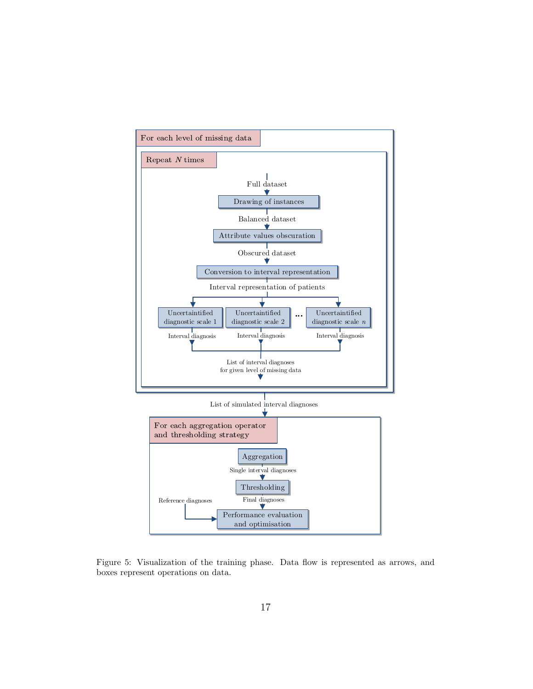<span id="page-16-0"></span>

Figure 5: Visualization of the training phase. Data flow is represented as arrows, and boxes represent operations on data.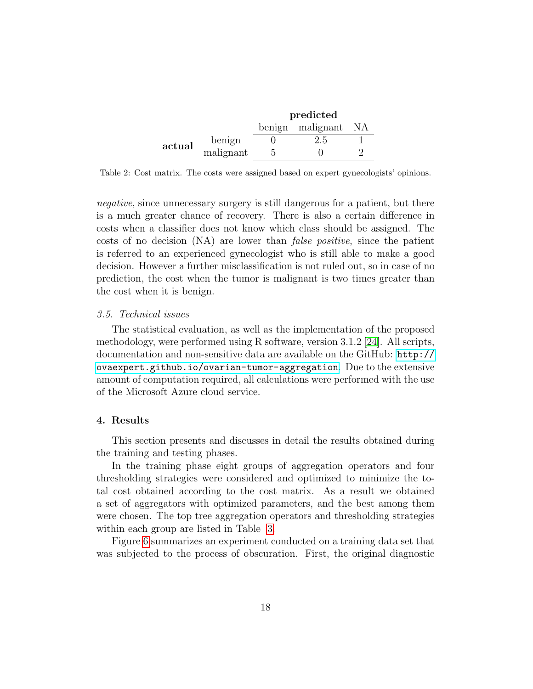|        |           | predicted |                     |  |  |
|--------|-----------|-----------|---------------------|--|--|
|        |           |           | benign malignant NA |  |  |
| actual | benign    |           | 2.5                 |  |  |
|        | malignant |           |                     |  |  |

<span id="page-17-2"></span>Table 2: Cost matrix. The costs were assigned based on expert gynecologists' opinions.

negative, since unnecessary surgery is still dangerous for a patient, but there is a much greater chance of recovery. There is also a certain difference in costs when a classifier does not know which class should be assigned. The costs of no decision (NA) are lower than false positive, since the patient is referred to an experienced gynecologist who is still able to make a good decision. However a further misclassification is not ruled out, so in case of no prediction, the cost when the tumor is malignant is two times greater than the cost when it is benign.

#### <span id="page-17-1"></span>3.5. Technical issues

The statistical evaluation, as well as the implementation of the proposed methodology, were performed using R software, version  $3.1.2$  [\[24\]](#page-33-5). All scripts, documentation and non-sensitive data are available on the GitHub: [http://](http://ovaexpert.github.io/ovarian-tumor-aggregation) [ovaexpert.github.io/ovarian-tumor-aggregation](http://ovaexpert.github.io/ovarian-tumor-aggregation). Due to the extensive amount of computation required, all calculations were performed with the use of the Microsoft Azure cloud service.

#### <span id="page-17-0"></span>4. Results

This section presents and discusses in detail the results obtained during the training and testing phases.

In the training phase eight groups of aggregation operators and four thresholding strategies were considered and optimized to minimize the total cost obtained according to the cost matrix. As a result we obtained a set of aggregators with optimized parameters, and the best among them were chosen. The top tree aggregation operators and thresholding strategies within each group are listed in Table [3.](#page-18-0)

Figure [6](#page-20-0) summarizes an experiment conducted on a training data set that was subjected to the process of obscuration. First, the original diagnostic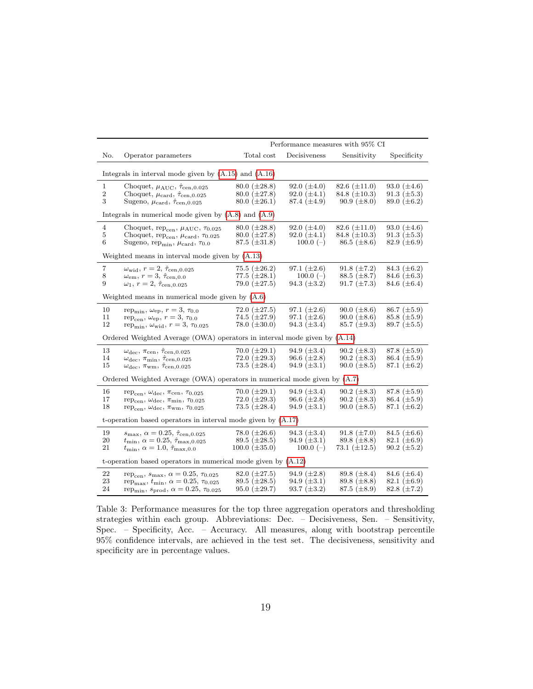<span id="page-18-0"></span>

|                                                                           |                                                                                                                                                                                                                                       | Performance measures with 95% CI                               |                                                          |                                                            |                                                          |  |  |
|---------------------------------------------------------------------------|---------------------------------------------------------------------------------------------------------------------------------------------------------------------------------------------------------------------------------------|----------------------------------------------------------------|----------------------------------------------------------|------------------------------------------------------------|----------------------------------------------------------|--|--|
| No.                                                                       | Operator parameters                                                                                                                                                                                                                   | Total cost                                                     | Decisiveness                                             | Sensitivity                                                | Specificity                                              |  |  |
| Integrals in interval mode given by $(A.15)$ and $(A.16)$                 |                                                                                                                                                                                                                                       |                                                                |                                                          |                                                            |                                                          |  |  |
| 1<br>$\overline{2}$<br>3                                                  | Choquet, $\mu_{\text{AUC}}, \hat{\tau}_{\text{cen},0.025}$<br>Choquet, $\mu_{\text{card}}, \hat{\tau}_{\text{cen},0.025}$<br>Sugeno, $\mu_{\text{card}}, \hat{\tau}_{\text{cen},0.025}$                                               | 80.0 $(\pm 28.8)$<br>$80.0~(\pm 27.8)$<br>$80.0~(\pm 26.1)$    | 92.0 $(\pm 4.0)$<br>92.0 $(\pm 4.1)$<br>87.4 $(\pm 4.9)$ | 82.6 $(\pm 11.0)$<br>84.8 $(\pm 10.3)$<br>90.9 $(\pm 8.0)$ | 93.0 $(\pm 4.6)$<br>91.3 $(\pm 5.3)$<br>89.0 $(\pm 6.2)$ |  |  |
|                                                                           | Integrals in numerical mode given by $(A.8)$ and $(A.9)$                                                                                                                                                                              |                                                                |                                                          |                                                            |                                                          |  |  |
| 4<br>5<br>6                                                               | Choquet, rep <sub>cen</sub> , $\mu_{\text{AUC}}, \tau_{0.025}$<br>Choquet, $rep_{\text{cen}}$ , $\mu_{\text{card}}$ , $\tau_{0.025}$<br>Sugeno, rep <sub>min</sub> , $\mu_{\text{card}}, \tau_{0.0}$                                  | $80.0~(\pm 28.8)$<br>$80.0~(\pm 27.8)$<br>$87.5~(\pm 31.8)$    | 92.0 $(\pm 4.0)$<br>92.0 $(\pm 4.1)$<br>$100.0(-)$       | 82.6 $(\pm 11.0)$<br>84.8 $(\pm 10.3)$<br>$86.5~(\pm 8.6)$ | 93.0 $(\pm 4.6)$<br>91.3 $(\pm 5.3)$<br>82.9 $(\pm 6.9)$ |  |  |
|                                                                           | Weighted means in interval mode given by $(A.13)$                                                                                                                                                                                     |                                                                |                                                          |                                                            |                                                          |  |  |
| 7<br>8<br>9                                                               | $\omega_{\text{wid}}, r = 2, \hat{\tau}_{\text{cen},0.025}$<br>$\omega_{em}$ , $r = 3$ , $\hat{\tau}_{cen, 0.0}$<br>$\omega_1, r = 2, \hat{\tau}_{\text{cen},0.025}$                                                                  | 75.5 $(\pm 26.2)$<br>77.5 $(\pm 28.1)$<br>79.0 $(\pm 27.5)$    | 97.1 $(\pm 2.6)$<br>$100.0(-)$<br>94.3 $(\pm 3.2)$       | 91.8 $(\pm 7.2)$<br>88.5 $(\pm 8.7)$<br>91.7 $(\pm 7.3)$   | 84.3 $(\pm 6.2)$<br>84.6 $(\pm 6.3)$<br>84.6 $(\pm 6.4)$ |  |  |
|                                                                           | Weighted means in numerical mode given by $(A.6)$                                                                                                                                                                                     |                                                                |                                                          |                                                            |                                                          |  |  |
| 10<br>11<br>12                                                            | rep <sub>min</sub> , $\omega_{ep}$ , $r = 3$ , $\tau_{0.0}$<br>rep <sub>cen</sub> , $\omega_{ep}$ , $r = 3$ , $\tau_{0.0}$<br>rep <sub>min</sub> , $\omega_{\text{wid}}$ , $r = 3$ , $\tau_{0.025}$                                   | 72.0 $(\pm 27.5)$<br>74.5 $(\pm 27.9)$<br>78.0 $(\pm 30.0)$    | 97.1 $(\pm 2.6)$<br>97.1 $(\pm 2.6)$<br>94.3 $(\pm 3.4)$ | 90.0 $(\pm 8.6)$<br>90.0 $(\pm 8.6)$<br>85.7 $(\pm 9.3)$   | 86.7 $(\pm 5.9)$<br>85.8 $(\pm 5.9)$<br>89.7 $(\pm 5.5)$ |  |  |
| Ordered Weighted Average (OWA) operators in interval mode given by (A.14) |                                                                                                                                                                                                                                       |                                                                |                                                          |                                                            |                                                          |  |  |
| 13<br>14<br>15                                                            | $\omega_{\text{dec}}, \pi_{\text{cen}}, \hat{\tau}_{\text{cen},0.025}$<br>$\omega_{\text{dec}}, \pi_{\text{min}}, \hat{\tau}_{\text{cen},0.025}$<br>$\omega_{\text{dec}}, \pi_{\text{wm}}, \hat{\tau}_{\text{cen},0.025}$             | 70.0 $(\pm 29.1)$<br>72.0 $(\pm 29.3)$<br>73.5 $(\pm 28.4)$    | 94.9 $(\pm 3.4)$<br>96.6 $(\pm 2.8)$<br>94.9 $(\pm 3.1)$ | 90.2 $(\pm 8.3)$<br>90.2 $(\pm 8.3)$<br>90.0 $(\pm 8.5)$   | 87.8 $(\pm 5.9)$<br>86.4 $(\pm 5.9)$<br>87.1 $(\pm 6.2)$ |  |  |
| Ordered Weighted Average (OWA) operators in numerical mode given by (A.7) |                                                                                                                                                                                                                                       |                                                                |                                                          |                                                            |                                                          |  |  |
| 16<br>17<br>18                                                            | $rep_{\text{cen}}, \omega_{\text{dec}}, \pi_{\text{cen}}, \tau_{0.025}$<br>$rep_{\text{cen}}, \omega_{\text{dec}}, \pi_{\text{min}}, \tau_{0.025}$<br>rep <sub>cen</sub> , $\omega_{\text{dec}}$ , $\pi_{\text{wm}}$ , $\tau_{0.025}$ | 70.0 $(\pm 29.1)$<br>72.0 $(\pm 29.3)$<br>73.5 $(\pm 28.4)$    | 94.9 $(\pm 3.4)$<br>96.6 $(\pm 2.8)$<br>94.9 $(\pm 3.1)$ | $90.2~(\pm 8.3)$<br>90.2 $(\pm 8.3)$<br>90.0 $(\pm 8.5)$   | 87.8 $(\pm 5.9)$<br>86.4 $(\pm 5.9)$<br>87.1 $(\pm 6.2)$ |  |  |
| t-operation based operators in interval mode given by $(A.17)$            |                                                                                                                                                                                                                                       |                                                                |                                                          |                                                            |                                                          |  |  |
| 19<br>20<br>21                                                            | $s_{\text{max}}, \alpha = 0.25, \hat{\tau}_{\text{cen},0.025}$<br>$t_{\rm min}, \alpha = 0.25, \hat{\tau}_{\rm max, 0.025}$<br>$t_{\rm min}, \alpha = 1.0, \hat{\tau}_{\rm max, 0.0}$                                                 | 78.0 $(\pm 26.6)$<br>89.5 $(\pm 28.5)$<br>$100.0 \ (\pm 35.0)$ | 94.3 $(\pm 3.4)$<br>94.9 $(\pm 3.1)$<br>$100.0(-)$       | 91.8 $(\pm 7.0)$<br>89.8 $(\pm 8.8)$<br>73.1 $(\pm 12.5)$  | 84.5 $(\pm 6.6)$<br>82.1 $(\pm 6.9)$<br>90.2 $(\pm 5.2)$ |  |  |
| t-operation based operators in numerical mode given by $(A.12)$           |                                                                                                                                                                                                                                       |                                                                |                                                          |                                                            |                                                          |  |  |
| 22<br>23<br>24                                                            | rep <sub>cen</sub> , $s_{\text{max}}$ , $\alpha = 0.25$ , $\tau_{0.025}$<br>rep <sub>max</sub> , $t_{\text{min}}$ , $\alpha = 0.25$ , $\tau_{0.025}$<br>rep <sub>min</sub> , $s_{\text{prod}}$ , $\alpha = 0.25$ , $\tau_{0.025}$     | 82.0 $(\pm 27.5)$<br>89.5 $(\pm 28.5)$<br>95.0 $(\pm 29.7)$    | 94.9 $(\pm 2.8)$<br>94.9 $(\pm 3.1)$<br>93.7 $(\pm 3.2)$ | 89.8 $(\pm 8.4)$<br>89.8 $(\pm 8.8)$<br>87.5 $(\pm 8.9)$   | 84.6 $(\pm 6.4)$<br>82.1 $(\pm 6.9)$<br>82.8 $(\pm 7.2)$ |  |  |

Table 3: Performance measures for the top three aggregation operators and thresholding strategies within each group. Abbreviations: Dec. – Decisiveness, Sen. – Sensitivity, Spec. – Specificity, Acc. – Accuracy. All measures, along with bootstrap percentile 95% confidence intervals, are achieved in the test set. The decisiveness, sensitivity and specificity are in percentage values.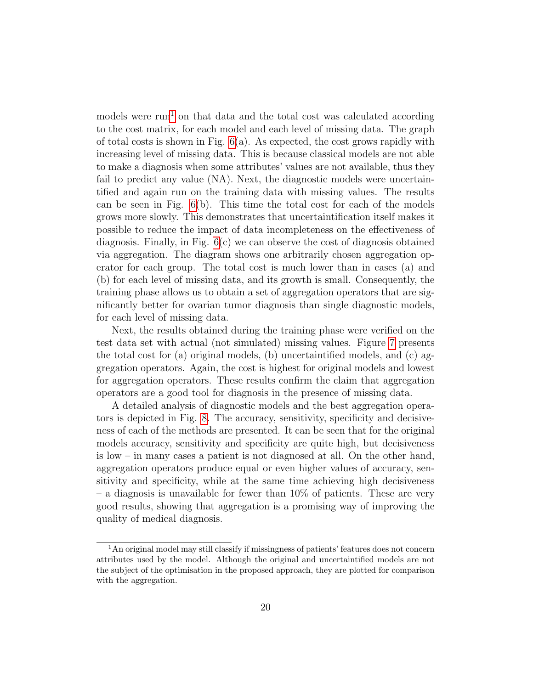models were run<sup>[1](#page-19-0)</sup> on that data and the total cost was calculated according to the cost matrix, for each model and each level of missing data. The graph of total costs is shown in Fig.  $6(a)$ . As expected, the cost grows rapidly with increasing level of missing data. This is because classical models are not able to make a diagnosis when some attributes' values are not available, thus they fail to predict any value (NA). Next, the diagnostic models were uncertaintified and again run on the training data with missing values. The results can be seen in Fig. [6\(](#page-20-0)b). This time the total cost for each of the models grows more slowly. This demonstrates that uncertaintification itself makes it possible to reduce the impact of data incompleteness on the effectiveness of diagnosis. Finally, in Fig. [6\(](#page-20-0)c) we can observe the cost of diagnosis obtained via aggregation. The diagram shows one arbitrarily chosen aggregation operator for each group. The total cost is much lower than in cases (a) and (b) for each level of missing data, and its growth is small. Consequently, the training phase allows us to obtain a set of aggregation operators that are significantly better for ovarian tumor diagnosis than single diagnostic models, for each level of missing data.

Next, the results obtained during the training phase were verified on the test data set with actual (not simulated) missing values. Figure [7](#page-21-0) presents the total cost for (a) original models, (b) uncertaintified models, and (c) aggregation operators. Again, the cost is highest for original models and lowest for aggregation operators. These results confirm the claim that aggregation operators are a good tool for diagnosis in the presence of missing data.

A detailed analysis of diagnostic models and the best aggregation operators is depicted in Fig. [8.](#page-22-1) The accuracy, sensitivity, specificity and decisiveness of each of the methods are presented. It can be seen that for the original models accuracy, sensitivity and specificity are quite high, but decisiveness is low – in many cases a patient is not diagnosed at all. On the other hand, aggregation operators produce equal or even higher values of accuracy, sensitivity and specificity, while at the same time achieving high decisiveness  $-$  a diagnosis is unavailable for fewer than  $10\%$  of patients. These are very good results, showing that aggregation is a promising way of improving the quality of medical diagnosis.

<span id="page-19-0"></span><sup>&</sup>lt;sup>1</sup>An original model may still classify if missingness of patients' features does not concern attributes used by the model. Although the original and uncertaintified models are not the subject of the optimisation in the proposed approach, they are plotted for comparison with the aggregation.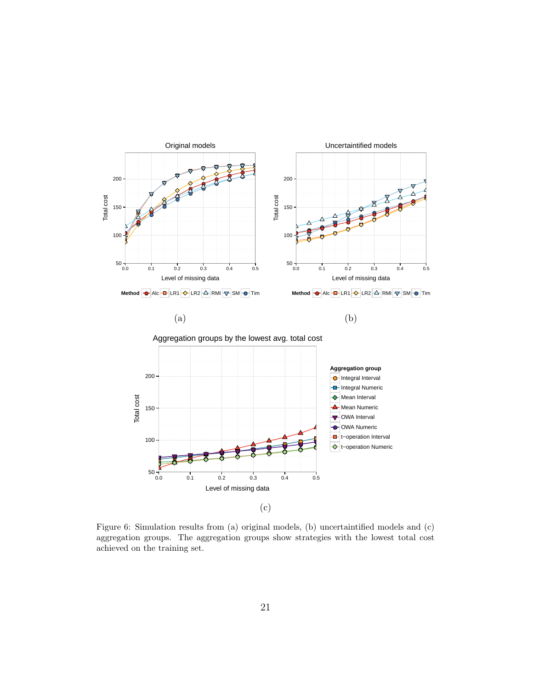<span id="page-20-0"></span>

Figure 6: Simulation results from (a) original models, (b) uncertaintified models and (c) aggregation groups. The aggregation groups show strategies with the lowest total cost achieved on the training set.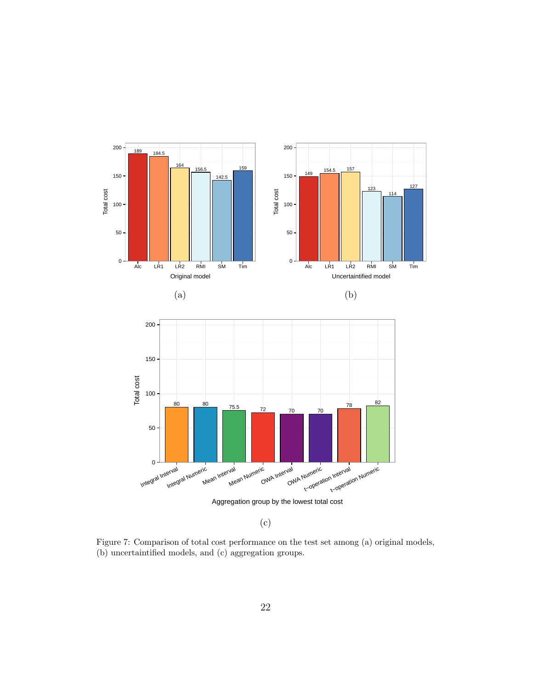<span id="page-21-0"></span>

Figure 7: Comparison of total cost performance on the test set among (a) original models, (b) uncertaintified models, and (c) aggregation groups.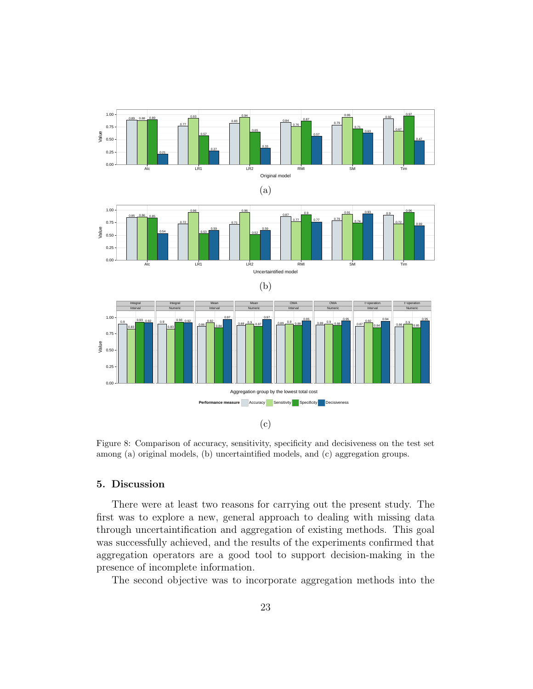<span id="page-22-1"></span>

Figure 8: Comparison of accuracy, sensitivity, specificity and decisiveness on the test set among (a) original models, (b) uncertaintified models, and (c) aggregation groups.

# <span id="page-22-0"></span>5. Discussion

There were at least two reasons for carrying out the present study. The first was to explore a new, general approach to dealing with missing data through uncertaintification and aggregation of existing methods. This goal was successfully achieved, and the results of the experiments confirmed that aggregation operators are a good tool to support decision-making in the presence of incomplete information.

The second objective was to incorporate aggregation methods into the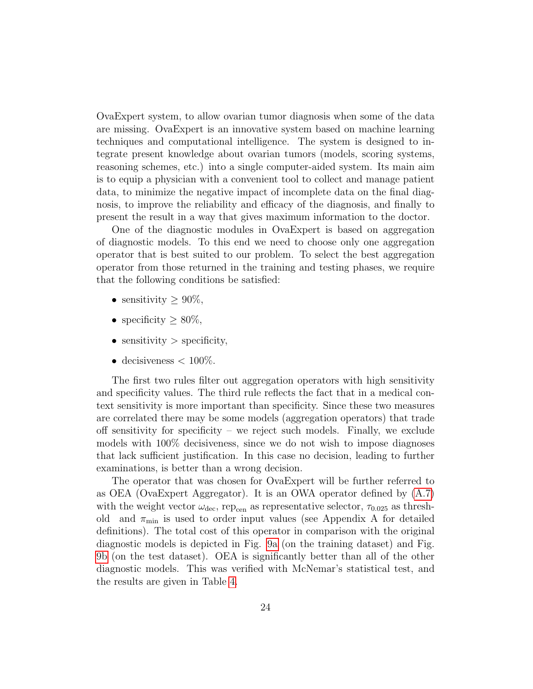OvaExpert system, to allow ovarian tumor diagnosis when some of the data are missing. OvaExpert is an innovative system based on machine learning techniques and computational intelligence. The system is designed to integrate present knowledge about ovarian tumors (models, scoring systems, reasoning schemes, etc.) into a single computer-aided system. Its main aim is to equip a physician with a convenient tool to collect and manage patient data, to minimize the negative impact of incomplete data on the final diagnosis, to improve the reliability and efficacy of the diagnosis, and finally to present the result in a way that gives maximum information to the doctor.

One of the diagnostic modules in OvaExpert is based on aggregation of diagnostic models. To this end we need to choose only one aggregation operator that is best suited to our problem. To select the best aggregation operator from those returned in the training and testing phases, we require that the following conditions be satisfied:

- sensitivity  $\geq 90\%$ ,
- specificity  $\geq 80\%$ ,
- sensitivity  $>$  specificity,
- decisiveness  $< 100\%$ .

The first two rules filter out aggregation operators with high sensitivity and specificity values. The third rule reflects the fact that in a medical context sensitivity is more important than specificity. Since these two measures are correlated there may be some models (aggregation operators) that trade off sensitivity for specificity – we reject such models. Finally, we exclude models with 100% decisiveness, since we do not wish to impose diagnoses that lack sufficient justification. In this case no decision, leading to further examinations, is better than a wrong decision.

The operator that was chosen for OvaExpert will be further referred to as OEA (OvaExpert Aggregator). It is an OWA operator defined by [\(A.7\)](#page-27-1) with the weight vector  $\omega_{\text{dec}}$ , rep<sub>cen</sub> as representative selector,  $\tau_{0.025}$  as threshold and  $\pi_{\min}$  is used to order input values (see Appendix A for detailed definitions). The total cost of this operator in comparison with the original diagnostic models is depicted in Fig. [9a](#page-24-1) (on the training dataset) and Fig. [9b](#page-24-1) (on the test dataset). OEA is significantly better than all of the other diagnostic models. This was verified with McNemar's statistical test, and the results are given in Table [4.](#page-25-0)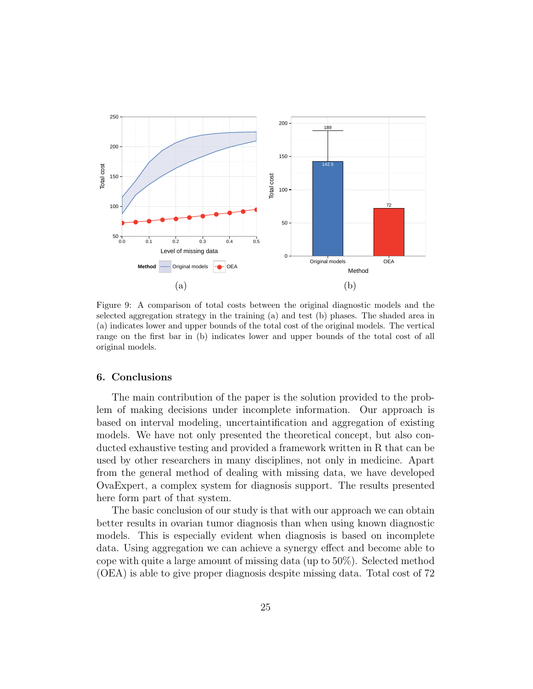<span id="page-24-1"></span>

Figure 9: A comparison of total costs between the original diagnostic models and the selected aggregation strategy in the training (a) and test (b) phases. The shaded area in (a) indicates lower and upper bounds of the total cost of the original models. The vertical range on the first bar in (b) indicates lower and upper bounds of the total cost of all original models.

# <span id="page-24-0"></span>6. Conclusions

The main contribution of the paper is the solution provided to the problem of making decisions under incomplete information. Our approach is based on interval modeling, uncertaintification and aggregation of existing models. We have not only presented the theoretical concept, but also conducted exhaustive testing and provided a framework written in R that can be used by other researchers in many disciplines, not only in medicine. Apart from the general method of dealing with missing data, we have developed OvaExpert, a complex system for diagnosis support. The results presented here form part of that system.

The basic conclusion of our study is that with our approach we can obtain better results in ovarian tumor diagnosis than when using known diagnostic models. This is especially evident when diagnosis is based on incomplete data. Using aggregation we can achieve a synergy effect and become able to cope with quite a large amount of missing data (up to 50%). Selected method (OEA) is able to give proper diagnosis despite missing data. Total cost of 72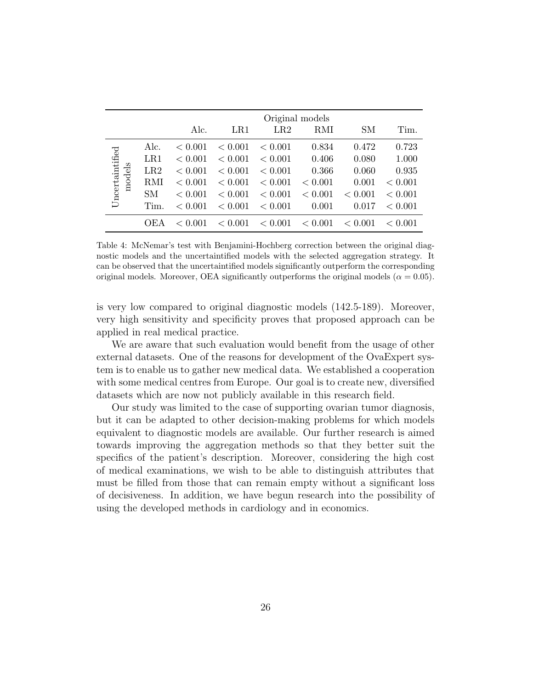<span id="page-25-0"></span>

|                 |            | Original models |              |         |         |         |                |
|-----------------|------------|-----------------|--------------|---------|---------|---------|----------------|
|                 |            | Alc.            | $_{\rm LR1}$ | LR2     | RMI     | SМ      | Tim.           |
| Uncertaintified | Alc.       | < 0.001         | < 0.001      | < 0.001 | 0.834   | 0.472   | 0.723          |
|                 | LR1        | < 0.001         | < 0.001      | < 0.001 | 0.406   | 0.080   | 1.000          |
| models          | LR2        | < 0.001         | < 0.001      | < 0.001 | 0.366   | 0.060   | 0.935          |
|                 | <b>RMI</b> | < 0.001         | < 0.001      | < 0.001 | < 0.001 | 0.001   | < 0.001        |
|                 | SМ         | < 0.001         | < 0.001      | < 0.001 | < 0.001 | < 0.001 | < 0.001        |
|                 | Tim.       | < 0.001         | < 0.001      | < 0.001 | 0.001   | 0.017   | < 0.001        |
|                 | OEA        | < 0.001         | < 0.001      | < 0.001 | < 0.001 | < 0.001 | 0.001<br>$\lt$ |

Table 4: McNemar's test with Benjamini-Hochberg correction between the original diagnostic models and the uncertaintified models with the selected aggregation strategy. It can be observed that the uncertaintified models significantly outperform the corresponding original models. Moreover, OEA significantly outperforms the original models ( $\alpha = 0.05$ ).

is very low compared to original diagnostic models (142.5-189). Moreover, very high sensitivity and specificity proves that proposed approach can be applied in real medical practice.

We are aware that such evaluation would benefit from the usage of other external datasets. One of the reasons for development of the OvaExpert system is to enable us to gather new medical data. We established a cooperation with some medical centres from Europe. Our goal is to create new, diversified datasets which are now not publicly available in this research field.

Our study was limited to the case of supporting ovarian tumor diagnosis, but it can be adapted to other decision-making problems for which models equivalent to diagnostic models are available. Our further research is aimed towards improving the aggregation methods so that they better suit the specifics of the patient's description. Moreover, considering the high cost of medical examinations, we wish to be able to distinguish attributes that must be filled from those that can remain empty without a significant loss of decisiveness. In addition, we have begun research into the possibility of using the developed methods in cardiology and in economics.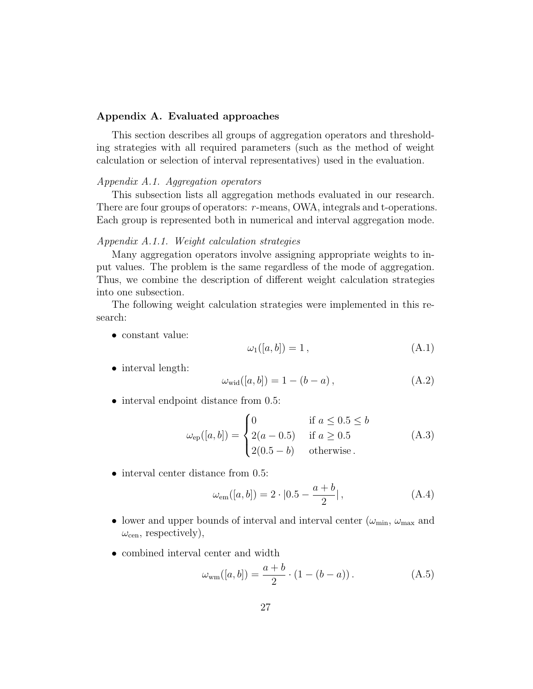# Appendix A. Evaluated approaches

This section describes all groups of aggregation operators and thresholding strategies with all required parameters (such as the method of weight calculation or selection of interval representatives) used in the evaluation.

# <span id="page-26-0"></span>Appendix A.1. Aggregation operators

This subsection lists all aggregation methods evaluated in our research. There are four groups of operators: r-means, OWA, integrals and t-operations. Each group is represented both in numerical and interval aggregation mode.

# <span id="page-26-1"></span>Appendix A.1.1. Weight calculation strategies

Many aggregation operators involve assigning appropriate weights to input values. The problem is the same regardless of the mode of aggregation. Thus, we combine the description of different weight calculation strategies into one subsection.

The following weight calculation strategies were implemented in this research:

• constant value:

$$
\omega_1([a,b]) = 1, \qquad (A.1)
$$

• interval length:

$$
\omega_{\text{wid}}([a, b]) = 1 - (b - a), \tag{A.2}
$$

• interval endpoint distance from 0.5:

$$
\omega_{ep}([a,b]) = \begin{cases}\n0 & \text{if } a \leq 0.5 \leq b \\
2(a-0.5) & \text{if } a \geq 0.5 \\
2(0.5-b) & \text{otherwise.} \n\end{cases}
$$
\n(A.3)

• interval center distance from 0.5:

$$
\omega_{\rm em}([a, b]) = 2 \cdot |0.5 - \frac{a+b}{2}|,\tag{A.4}
$$

- lower and upper bounds of interval and interval center ( $\omega_{\rm min}$ ,  $\omega_{\rm max}$  and  $\omega_{\rm cen}$ , respectively),
- combined interval center and width

$$
\omega_{\text{wm}}([a, b]) = \frac{a+b}{2} \cdot (1 - (b - a)). \tag{A.5}
$$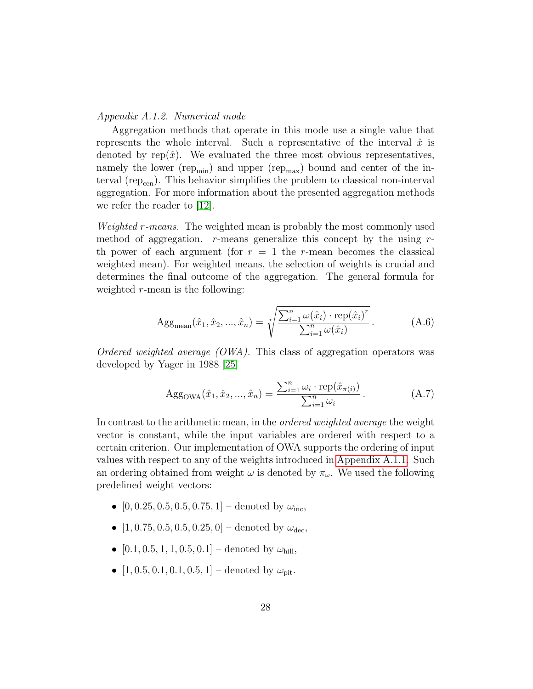# Appendix A.1.2. Numerical mode

Aggregation methods that operate in this mode use a single value that represents the whole interval. Such a representative of the interval  $\hat{x}$  is denoted by rep $(\hat{x})$ . We evaluated the three most obvious representatives, namely the lower ( $rep_{min}$ ) and upper ( $rep_{max}$ ) bound and center of the interval ( $rep_{cen}$ ). This behavior simplifies the problem to classical non-interval aggregation. For more information about the presented aggregation methods we refer the reader to [\[12\]](#page-32-4).

Weighted r-means. The weighted mean is probably the most commonly used method of aggregation.  $r$ -means generalize this concept by the using  $r$ th power of each argument (for  $r = 1$  the r-mean becomes the classical weighted mean). For weighted means, the selection of weights is crucial and determines the final outcome of the aggregation. The general formula for weighted  $r$ -mean is the following:

<span id="page-27-0"></span>
$$
Agg_{\text{mean}}(\hat{x}_1, \hat{x}_2, ..., \hat{x}_n) = \sqrt[r]{\frac{\sum_{i=1}^n \omega(\hat{x}_i) \cdot \text{rep}(\hat{x}_i)^r}{\sum_{i=1}^n \omega(\hat{x}_i)}}.
$$
(A.6)

Ordered weighted average  $(OWA)$ . This class of aggregation operators was developed by Yager in 1988 [\[25\]](#page-33-6)

<span id="page-27-1"></span>
$$
Agg_{OWA}(\hat{x}_1, \hat{x}_2, ..., \hat{x}_n) = \frac{\sum_{i=1}^n \omega_i \cdot \text{rep}(\hat{x}_{\pi(i)})}{\sum_{i=1}^n \omega_i}.
$$
 (A.7)

In contrast to the arithmetic mean, in the ordered weighted average the weight vector is constant, while the input variables are ordered with respect to a certain criterion. Our implementation of OWA supports the ordering of input values with respect to any of the weights introduced in [Appendix A.1.1.](#page-26-1) Such an ordering obtained from weight  $\omega$  is denoted by  $\pi_{\omega}$ . We used the following predefined weight vectors:

- $[0, 0.25, 0.5, 0.5, 0.75, 1]$  denoted by  $\omega_{\text{inc}}$ ,
- $[1, 0.75, 0.5, 0.5, 0.25, 0]$  denoted by  $\omega_{\text{dec}}$ ,
- $[0.1, 0.5, 1, 1, 0.5, 0.1]$  denoted by  $\omega_{\text{hill}}$ ,
- $[1, 0.5, 0.1, 0.1, 0.5, 1]$  denoted by  $\omega_{\text{pit}}$ .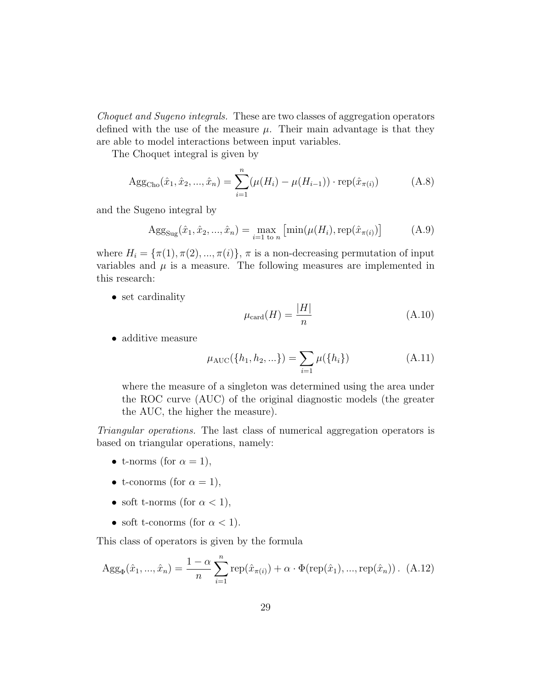Choquet and Sugeno integrals. These are two classes of aggregation operators defined with the use of the measure  $\mu$ . Their main advantage is that they are able to model interactions between input variables.

The Choquet integral is given by

<span id="page-28-0"></span>
$$
Agg_{Cho}(\hat{x}_1, \hat{x}_2, ..., \hat{x}_n) = \sum_{i=1}^n (\mu(H_i) - \mu(H_{i-1})) \cdot \text{rep}(\hat{x}_{\pi(i)})
$$
(A.8)

and the Sugeno integral by

<span id="page-28-1"></span>
$$
Agg_{\text{Sug}}(\hat{x}_1, \hat{x}_2, ..., \hat{x}_n) = \max_{i=1 \text{ to } n} \left[ \min(\mu(H_i), \text{rep}(\hat{x}_{\pi(i)}) \right] \tag{A.9}
$$

where  $H_i = {\pi(1), \pi(2), ..., \pi(i)}$ ,  $\pi$  is a non-decreasing permutation of input variables and  $\mu$  is a measure. The following measures are implemented in this research:

• set cardinality

$$
\mu_{\text{card}}(H) = \frac{|H|}{n} \tag{A.10}
$$

• additive measure

$$
\mu_{\text{AUC}}(\{h_1, h_2, ...\}) = \sum_{i=1} \mu(\{h_i\})
$$
\n(A.11)

where the measure of a singleton was determined using the area under the ROC curve (AUC) of the original diagnostic models (the greater the AUC, the higher the measure).

Triangular operations. The last class of numerical aggregation operators is based on triangular operations, namely:

- t-norms (for  $\alpha = 1$ ),
- t-conorms (for  $\alpha = 1$ ),
- soft t-norms (for  $\alpha < 1$ ),
- soft t-conorms (for  $\alpha < 1$ ).

This class of operators is given by the formula

<span id="page-28-2"></span>
$$
Agg_{\Phi}(\hat{x}_1, ..., \hat{x}_n) = \frac{1 - \alpha}{n} \sum_{i=1}^n \text{rep}(\hat{x}_{\pi(i)}) + \alpha \cdot \Phi(\text{rep}(\hat{x}_1), ..., \text{rep}(\hat{x}_n)). \tag{A.12}
$$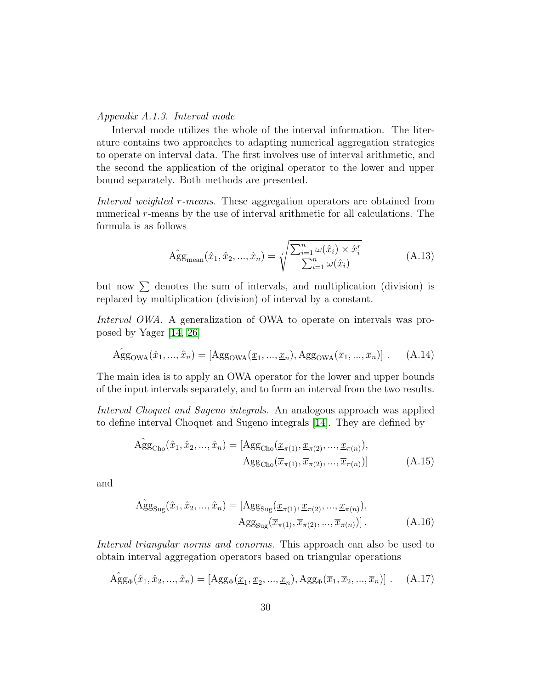# Appendix A.1.3. Interval mode

Interval mode utilizes the whole of the interval information. The literature contains two approaches to adapting numerical aggregation strategies to operate on interval data. The first involves use of interval arithmetic, and the second the application of the original operator to the lower and upper bound separately. Both methods are presented.

Interval weighted r-means. These aggregation operators are obtained from numerical r-means by the use of interval arithmetic for all calculations. The formula is as follows

<span id="page-29-2"></span>
$$
\hat{\text{Agg}}_{\text{mean}}(\hat{x}_1, \hat{x}_2, ..., \hat{x}_n) = \sqrt[n]{\frac{\sum_{i=1}^n \omega(\hat{x}_i) \times \hat{x}_i^r}{\sum_{i=1}^n \omega(\hat{x}_i)}}\tag{A.13}
$$

but now  $\sum$  denotes the sum of intervals, and multiplication (division) is replaced by multiplication (division) of interval by a constant.

Interval OWA. A generalization of OWA to operate on intervals was proposed by Yager [\[14,](#page-32-6) [26\]](#page-33-7)

<span id="page-29-3"></span>
$$
\hat{\text{Agg}}_{\text{OWA}}(\hat{x}_1, \dots, \hat{x}_n) = [\text{Agg}_{\text{OWA}}(\underline{x}_1, \dots, \underline{x}_n), \text{Agg}_{\text{OWA}}(\overline{x}_1, \dots, \overline{x}_n)] .
$$
 (A.14)

The main idea is to apply an OWA operator for the lower and upper bounds of the input intervals separately, and to form an interval from the two results.

Interval Choquet and Sugeno integrals. An analogous approach was applied to define interval Choquet and Sugeno integrals [\[14\]](#page-32-6). They are defined by

<span id="page-29-0"></span>
$$
\hat{\text{Agg}}_{\text{Cho}}(\hat{x}_1, \hat{x}_2, ..., \hat{x}_n) = [\text{Agg}_{\text{Cho}}(\underline{x}_{\pi(1)}, \underline{x}_{\pi(2)}, ..., \underline{x}_{\pi(n)}),
$$
  
\n
$$
\text{Agg}_{\text{Cho}}(\overline{x}_{\pi(1)}, \overline{x}_{\pi(2)}, ..., \overline{x}_{\pi(n)})]
$$
\n(A.15)

and

<span id="page-29-1"></span>
$$
\hat{\text{Agg}}_{\text{Sug}}(\hat{x}_1, \hat{x}_2, ..., \hat{x}_n) = [\text{Agg}_{\text{Sug}}(\underline{x}_{\pi(1)}, \underline{x}_{\pi(2)}, ..., \underline{x}_{\pi(n)}),
$$

$$
\text{Agg}_{\text{Sug}}(\overline{x}_{\pi(1)}, \overline{x}_{\pi(2)}, ..., \overline{x}_{\pi(n)})].
$$
(A.16)

Interval triangular norms and conorms. This approach can also be used to obtain interval aggregation operators based on triangular operations

<span id="page-29-4"></span>
$$
\hat{Agg}_{\Phi}(\hat{x}_1, \hat{x}_2, ..., \hat{x}_n) = [Agg_{\Phi}(\underline{x}_1, \underline{x}_2, ..., \underline{x}_n), Agg_{\Phi}(\overline{x}_1, \overline{x}_2, ..., \overline{x}_n)] . (A.17)
$$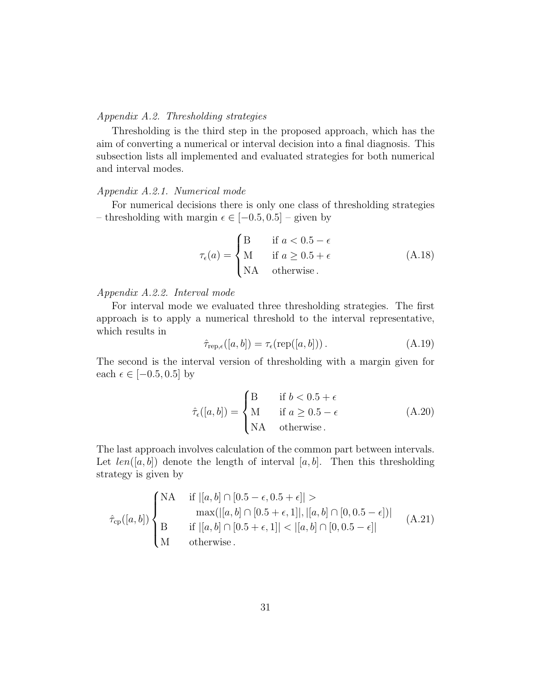# <span id="page-30-0"></span>Appendix A.2. Thresholding strategies

Thresholding is the third step in the proposed approach, which has the aim of converting a numerical or interval decision into a final diagnosis. This subsection lists all implemented and evaluated strategies for both numerical and interval modes.

# Appendix A.2.1. Numerical mode

For numerical decisions there is only one class of thresholding strategies – thresholding with margin  $\epsilon \in [-0.5, 0.5]$  – given by

$$
\tau_{\epsilon}(a) = \begin{cases} B & \text{if } a < 0.5 - \epsilon \\ M & \text{if } a \ge 0.5 + \epsilon \\ NA & \text{otherwise.} \end{cases}
$$
 (A.18)

Appendix A.2.2. Interval mode

For interval mode we evaluated three thresholding strategies. The first approach is to apply a numerical threshold to the interval representative, which results in

$$
\hat{\tau}_{\text{rep},\epsilon}([a,b]) = \tau_{\epsilon}(\text{rep}([a,b])). \tag{A.19)}
$$

The second is the interval version of thresholding with a margin given for each  $\epsilon \in [-0.5, 0.5]$  by

$$
\hat{\tau}_{\epsilon}([a, b]) = \begin{cases}\n\text{B} & \text{if } b < 0.5 + \epsilon \\
\text{M} & \text{if } a \ge 0.5 - \epsilon \\
\text{NA} & \text{otherwise.} \n\end{cases}
$$
\n(A.20)

The last approach involves calculation of the common part between intervals. Let  $len([a, b])$  denote the length of interval  $[a, b]$ . Then this thresholding strategy is given by

$$
\hat{\tau}_{cp}([a,b]) \begin{cases} \text{NA} & \text{if } |[a,b] \cap [0.5 - \epsilon, 0.5 + \epsilon]| > \\ & \max(|[a,b] \cap [0.5 + \epsilon, 1]|, |[a,b] \cap [0, 0.5 - \epsilon])| \\ \text{B} & \text{if } |[a,b] \cap [0.5 + \epsilon, 1]| < |[a,b] \cap [0, 0.5 - \epsilon]| \\ \text{M} & \text{otherwise.} \end{cases} \tag{A.21}
$$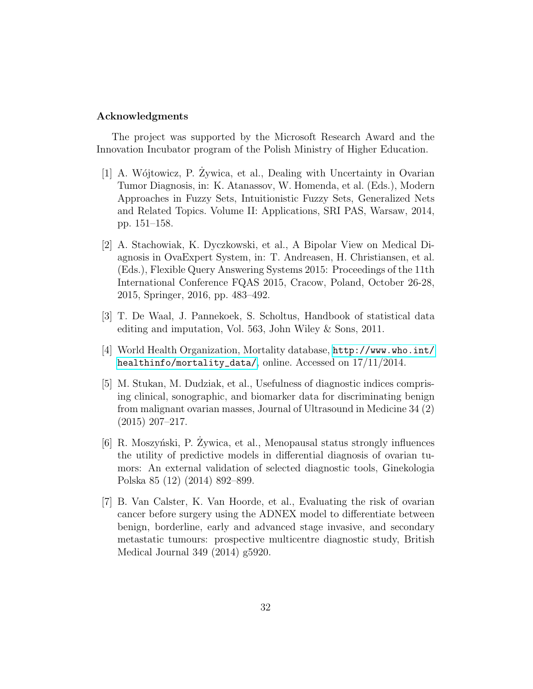#### Acknowledgments

The project was supported by the Microsoft Research Award and the Innovation Incubator program of the Polish Ministry of Higher Education.

- <span id="page-31-0"></span>[1] A. Wójtowicz, P. Zywica, et al., Dealing with Uncertainty in Ovarian Tumor Diagnosis, in: K. Atanassov, W. Homenda, et al. (Eds.), Modern Approaches in Fuzzy Sets, Intuitionistic Fuzzy Sets, Generalized Nets and Related Topics. Volume II: Applications, SRI PAS, Warsaw, 2014, pp. 151–158.
- <span id="page-31-1"></span>[2] A. Stachowiak, K. Dyczkowski, et al., A Bipolar View on Medical Diagnosis in OvaExpert System, in: T. Andreasen, H. Christiansen, et al. (Eds.), Flexible Query Answering Systems 2015: Proceedings of the 11th International Conference FQAS 2015, Cracow, Poland, October 26-28, 2015, Springer, 2016, pp. 483–492.
- <span id="page-31-2"></span>[3] T. De Waal, J. Pannekoek, S. Scholtus, Handbook of statistical data editing and imputation, Vol. 563, John Wiley & Sons, 2011.
- <span id="page-31-3"></span>[4] World Health Organization, Mortality database, [http://www.who.int/](http://www.who.int/healthinfo/mortality_data/) [healthinfo/mortality\\_data/](http://www.who.int/healthinfo/mortality_data/), online. Accessed on 17/11/2014.
- <span id="page-31-4"></span>[5] M. Stukan, M. Dudziak, et al., Usefulness of diagnostic indices comprising clinical, sonographic, and biomarker data for discriminating benign from malignant ovarian masses, Journal of Ultrasound in Medicine 34 (2) (2015) 207–217.
- <span id="page-31-5"></span>[6] R. Moszyński, P. Zywica, et al., Menopausal status strongly influences the utility of predictive models in differential diagnosis of ovarian tumors: An external validation of selected diagnostic tools, Ginekologia Polska 85 (12) (2014) 892–899.
- <span id="page-31-6"></span>[7] B. Van Calster, K. Van Hoorde, et al., Evaluating the risk of ovarian cancer before surgery using the ADNEX model to differentiate between benign, borderline, early and advanced stage invasive, and secondary metastatic tumours: prospective multicentre diagnostic study, British Medical Journal 349 (2014) g5920.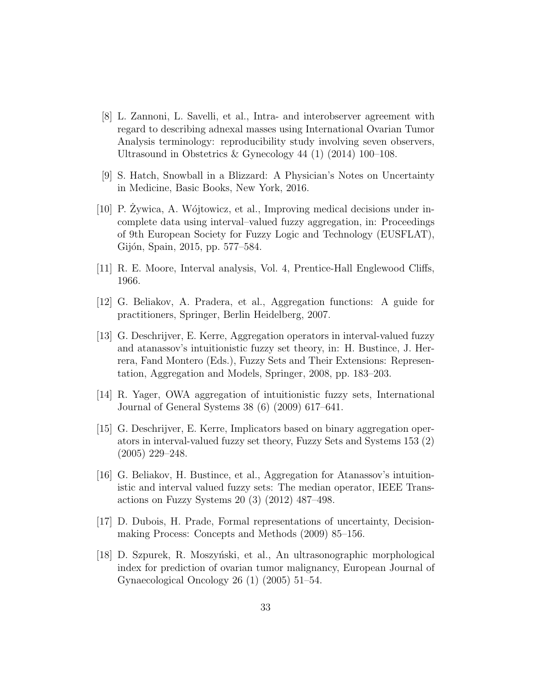- <span id="page-32-0"></span>[8] L. Zannoni, L. Savelli, et al., Intra- and interobserver agreement with regard to describing adnexal masses using International Ovarian Tumor Analysis terminology: reproducibility study involving seven observers, Ultrasound in Obstetrics & Gynecology 44 (1) (2014) 100–108.
- <span id="page-32-1"></span>[9] S. Hatch, Snowball in a Blizzard: A Physician's Notes on Uncertainty in Medicine, Basic Books, New York, 2016.
- <span id="page-32-2"></span>[10] P. Zywica, A. Wójtowicz, et al., Improving medical decisions under incomplete data using interval–valued fuzzy aggregation, in: Proceedings of 9th European Society for Fuzzy Logic and Technology (EUSFLAT), Gijón, Spain, 2015, pp. 577–584.
- <span id="page-32-3"></span>[11] R. E. Moore, Interval analysis, Vol. 4, Prentice-Hall Englewood Cliffs, 1966.
- <span id="page-32-4"></span>[12] G. Beliakov, A. Pradera, et al., Aggregation functions: A guide for practitioners, Springer, Berlin Heidelberg, 2007.
- <span id="page-32-5"></span>[13] G. Deschrijver, E. Kerre, Aggregation operators in interval-valued fuzzy and atanassov's intuitionistic fuzzy set theory, in: H. Bustince, J. Herrera, Fand Montero (Eds.), Fuzzy Sets and Their Extensions: Representation, Aggregation and Models, Springer, 2008, pp. 183–203.
- <span id="page-32-6"></span>[14] R. Yager, OWA aggregation of intuitionistic fuzzy sets, International Journal of General Systems 38 (6) (2009) 617–641.
- <span id="page-32-7"></span>[15] G. Deschrijver, E. Kerre, Implicators based on binary aggregation operators in interval-valued fuzzy set theory, Fuzzy Sets and Systems 153 (2) (2005) 229–248.
- <span id="page-32-8"></span>[16] G. Beliakov, H. Bustince, et al., Aggregation for Atanassov's intuitionistic and interval valued fuzzy sets: The median operator, IEEE Transactions on Fuzzy Systems 20 (3) (2012) 487–498.
- <span id="page-32-9"></span>[17] D. Dubois, H. Prade, Formal representations of uncertainty, Decisionmaking Process: Concepts and Methods (2009) 85–156.
- <span id="page-32-10"></span>[18] D. Szpurek, R. Moszyński, et al., An ultrasonographic morphological index for prediction of ovarian tumor malignancy, European Journal of Gynaecological Oncology 26 (1) (2005) 51–54.